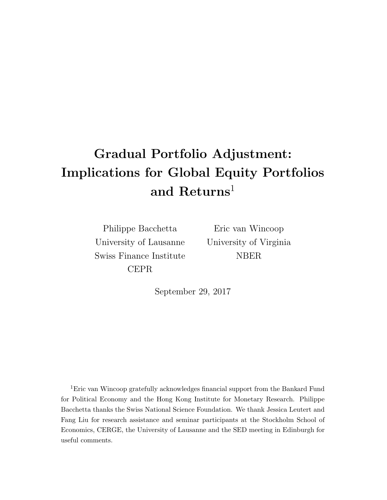# Gradual Portfolio Adjustment: Implications for Global Equity Portfolios and  $Retrurs<sup>1</sup>$

Philippe Bacchetta University of Lausanne Swiss Finance Institute CEPR

Eric van Wincoop University of Virginia NBER

September 29, 2017

<sup>1</sup>Eric van Wincoop gratefully acknowledges financial support from the Bankard Fund for Political Economy and the Hong Kong Institute for Monetary Research. Philippe Bacchetta thanks the Swiss National Science Foundation. We thank Jessica Leutert and Fang Liu for research assistance and seminar participants at the Stockholm School of Economics, CERGE, the University of Lausanne and the SED meeting in Edinburgh for useful comments.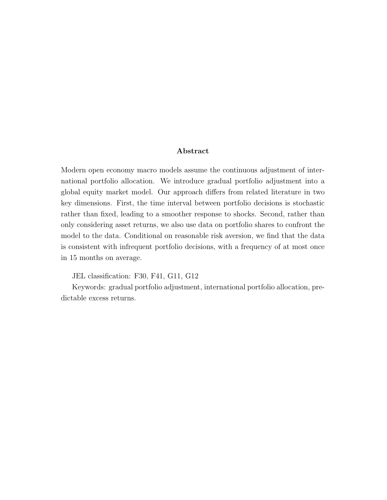#### Abstract

Modern open economy macro models assume the continuous adjustment of international portfolio allocation. We introduce gradual portfolio adjustment into a global equity market model. Our approach differs from related literature in two key dimensions. First, the time interval between portfolio decisions is stochastic rather than fixed, leading to a smoother response to shocks. Second, rather than only considering asset returns, we also use data on portfolio shares to confront the model to the data. Conditional on reasonable risk aversion, we find that the data is consistent with infrequent portfolio decisions, with a frequency of at most once in 15 months on average.

JEL classification: F30, F41, G11, G12

Keywords: gradual portfolio adjustment, international portfolio allocation, predictable excess returns.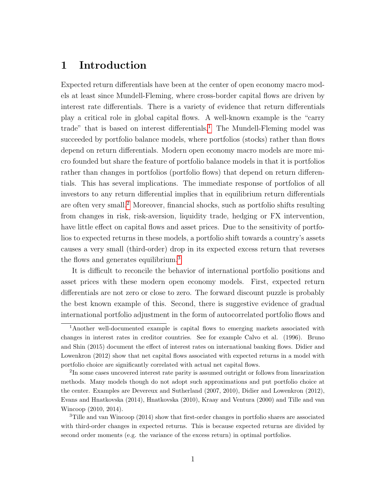# 1 Introduction

Expected return differentials have been at the center of open economy macro models at least since Mundell-Fleming, where cross-border capital flows are driven by interest rate differentials. There is a variety of evidence that return differentials play a critical role in global capital flows. A well-known example is the "carry trade" that is based on interest differentials.<sup>[1](#page-2-0)</sup> The Mundell-Fleming model was succeeded by portfolio balance models, where portfolios (stocks) rather than flows depend on return differentials. Modern open economy macro models are more micro founded but share the feature of portfolio balance models in that it is portfolios rather than changes in portfolios (portfolio flows) that depend on return differentials. This has several implications. The immediate response of portfolios of all investors to any return differential implies that in equilibrium return differentials are often very small.[2](#page-2-1) Moreover, financial shocks, such as portfolio shifts resulting from changes in risk, risk-aversion, liquidity trade, hedging or FX intervention, have little effect on capital flows and asset prices. Due to the sensitivity of portfolios to expected returns in these models, a portfolio shift towards a country's assets causes a very small (third-order) drop in its expected excess return that reverses the flows and generates equilibrium.<sup>[3](#page-2-2)</sup>

It is difficult to reconcile the behavior of international portfolio positions and asset prices with these modern open economy models. First, expected return differentials are not zero or close to zero. The forward discount puzzle is probably the best known example of this. Second, there is suggestive evidence of gradual international portfolio adjustment in the form of autocorrelated portfolio flows and

<span id="page-2-0"></span><sup>1</sup>Another well-documented example is capital flows to emerging markets associated with changes in interest rates in creditor countries. See for example Calvo et al. (1996). Bruno and Shin (2015) document the effect of interest rates on international banking flows. Didier and Lowenkron (2012) show that net capital flows associated with expected returns in a model with portfolio choice are significantly correlated with actual net capital flows.

<span id="page-2-1"></span><sup>&</sup>lt;sup>2</sup>In some cases uncovered interest rate parity is assumed outright or follows from linearization methods. Many models though do not adopt such approximations and put portfolio choice at the center. Examples are Devereux and Sutherland (2007, 2010), Didier and Lowenkron (2012), Evans and Hnatkovska (2014), Hnatkovska (2010), Kraay and Ventura (2000) and Tille and van Wincoop (2010, 2014).

<span id="page-2-2"></span><sup>&</sup>lt;sup>3</sup>Tille and van Wincoop (2014) show that first-order changes in portfolio shares are associated with third-order changes in expected returns. This is because expected returns are divided by second order moments (e.g. the variance of the excess return) in optimal portfolios.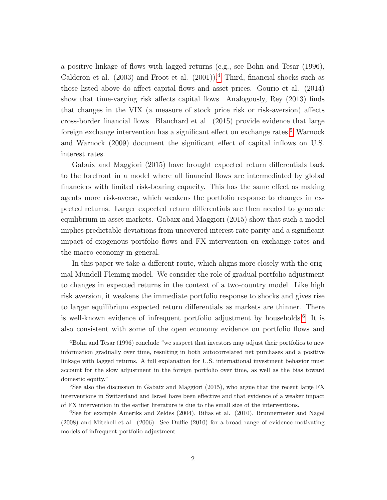a positive linkage of flows with lagged returns (e.g., see Bohn and Tesar (1996), Calderon et al.  $(2003)$  and Froot et al.  $(2001)$ .<sup>[4](#page-3-0)</sup> Third, financial shocks such as those listed above do affect capital flows and asset prices. Gourio et al. (2014) show that time-varying risk affects capital flows. Analogously, Rey (2013) finds that changes in the VIX (a measure of stock price risk or risk-aversion) affects cross-border financial flows. Blanchard et al. (2015) provide evidence that large foreign exchange intervention has a significant effect on exchange rates.<sup>[5](#page-3-1)</sup> Warnock and Warnock (2009) document the significant effect of capital inflows on U.S. interest rates.

Gabaix and Maggiori (2015) have brought expected return differentials back to the forefront in a model where all financial flows are intermediated by global financiers with limited risk-bearing capacity. This has the same effect as making agents more risk-averse, which weakens the portfolio response to changes in expected returns. Larger expected return differentials are then needed to generate equilibrium in asset markets. Gabaix and Maggiori (2015) show that such a model implies predictable deviations from uncovered interest rate parity and a significant impact of exogenous portfolio flows and FX intervention on exchange rates and the macro economy in general.

In this paper we take a different route, which aligns more closely with the original Mundell-Fleming model. We consider the role of gradual portfolio adjustment to changes in expected returns in the context of a two-country model. Like high risk aversion, it weakens the immediate portfolio response to shocks and gives rise to larger equilibrium expected return differentials as markets are thinner. There is well-known evidence of infrequent portfolio adjustment by households.[6](#page-3-2) It is also consistent with some of the open economy evidence on portfolio flows and

<span id="page-3-0"></span><sup>4</sup>Bohn and Tesar (1996) conclude "we suspect that investors may adjust their portfolios to new information gradually over time, resulting in both autocorrelated net purchases and a positive linkage with lagged returns. A full explanation for U.S. international investment behavior must account for the slow adjustment in the foreign portfolio over time, as well as the bias toward domestic equity."

<span id="page-3-1"></span><sup>&</sup>lt;sup>5</sup>See also the discussion in Gabaix and Maggiori (2015), who argue that the recent large FX interventions in Switzerland and Israel have been effective and that evidence of a weaker impact of FX intervention in the earlier literature is due to the small size of the interventions.

<span id="page-3-2"></span><sup>6</sup>See for example Ameriks and Zeldes (2004), Bilias et al. (2010), Brunnermeier and Nagel (2008) and Mitchell et al. (2006). See Duffie (2010) for a broad range of evidence motivating models of infrequent portfolio adjustment.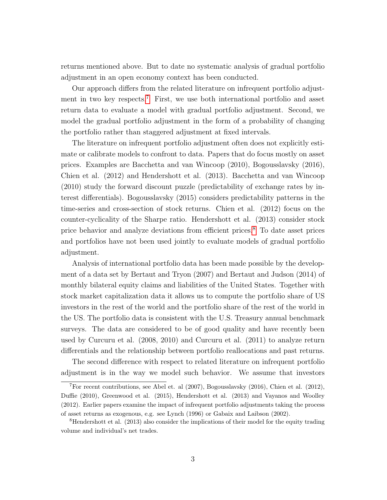returns mentioned above. But to date no systematic analysis of gradual portfolio adjustment in an open economy context has been conducted.

Our approach differs from the related literature on infrequent portfolio adjust-ment in two key respects.<sup>[7](#page-4-0)</sup> First, we use both international portfolio and asset return data to evaluate a model with gradual portfolio adjustment. Second, we model the gradual portfolio adjustment in the form of a probability of changing the portfolio rather than staggered adjustment at fixed intervals.

The literature on infrequent portfolio adjustment often does not explicitly estimate or calibrate models to confront to data. Papers that do focus mostly on asset prices. Examples are Bacchetta and van Wincoop (2010), Bogousslavsky (2016), Chien et al. (2012) and Hendershott et al. (2013). Bacchetta and van Wincoop (2010) study the forward discount puzzle (predictability of exchange rates by interest differentials). Bogousslavsky (2015) considers predictability patterns in the time-series and cross-section of stock returns. Chien et al. (2012) focus on the counter-cyclicality of the Sharpe ratio. Hendershott et al. (2013) consider stock price behavior and analyze deviations from efficient prices.[8](#page-4-1) To date asset prices and portfolios have not been used jointly to evaluate models of gradual portfolio adjustment.

Analysis of international portfolio data has been made possible by the development of a data set by Bertaut and Tryon (2007) and Bertaut and Judson (2014) of monthly bilateral equity claims and liabilities of the United States. Together with stock market capitalization data it allows us to compute the portfolio share of US investors in the rest of the world and the portfolio share of the rest of the world in the US. The portfolio data is consistent with the U.S. Treasury annual benchmark surveys. The data are considered to be of good quality and have recently been used by Curcuru et al. (2008, 2010) and Curcuru et al. (2011) to analyze return differentials and the relationship between portfolio reallocations and past returns.

The second difference with respect to related literature on infrequent portfolio adjustment is in the way we model such behavior. We assume that investors

<span id="page-4-0"></span><sup>&</sup>lt;sup>7</sup>For recent contributions, see Abel et. al  $(2007)$ , Bogousslavsky  $(2016)$ , Chien et al.  $(2012)$ , Duffie (2010), Greenwood et al. (2015), Hendershott et al. (2013) and Vayanos and Woolley (2012). Earlier papers examine the impact of infrequent portfolio adjustments taking the process of asset returns as exogenous, e.g. see Lynch (1996) or Gabaix and Laibson (2002).

<span id="page-4-1"></span> ${}^{8}$ Hendershott et al. (2013) also consider the implications of their model for the equity trading volume and individual's net trades.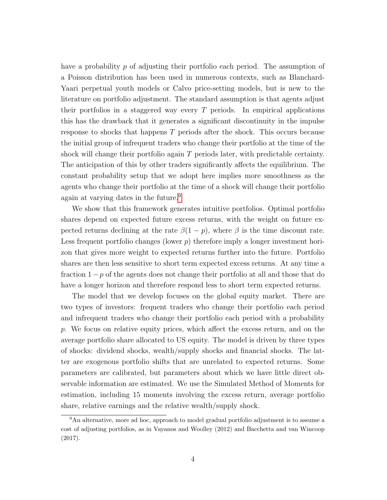have a probability p of adjusting their portfolio each period. The assumption of a Poisson distribution has been used in numerous contexts, such as Blanchard-Yaari perpetual youth models or Calvo price-setting models, but is new to the literature on portfolio adjustment. The standard assumption is that agents adjust their portfolios in a staggered way every  $T$  periods. In empirical applications this has the drawback that it generates a significant discontinuity in the impulse response to shocks that happens T periods after the shock. This occurs because the initial group of infrequent traders who change their portfolio at the time of the shock will change their portfolio again T periods later, with predictable certainty. The anticipation of this by other traders significantly affects the equilibrium. The constant probability setup that we adopt here implies more smoothness as the agents who change their portfolio at the time of a shock will change their portfolio again at varying dates in the future.[9](#page-5-0)

We show that this framework generates intuitive portfolios. Optimal portfolio shares depend on expected future excess returns, with the weight on future expected returns declining at the rate  $\beta(1 - p)$ , where  $\beta$  is the time discount rate. Less frequent portfolio changes (lower  $p$ ) therefore imply a longer investment horizon that gives more weight to expected returns further into the future. Portfolio shares are then less sensitive to short term expected excess returns. At any time a fraction  $1-p$  of the agents does not change their portfolio at all and those that do have a longer horizon and therefore respond less to short term expected returns.

The model that we develop focuses on the global equity market. There are two types of investors: frequent traders who change their portfolio each period and infrequent traders who change their portfolio each period with a probability p. We focus on relative equity prices, which affect the excess return, and on the average portfolio share allocated to US equity. The model is driven by three types of shocks: dividend shocks, wealth/supply shocks and financial shocks. The latter are exogenous portfolio shifts that are unrelated to expected returns. Some parameters are calibrated, but parameters about which we have little direct observable information are estimated. We use the Simulated Method of Moments for estimation, including 15 moments involving the excess return, average portfolio share, relative earnings and the relative wealth/supply shock.

<span id="page-5-0"></span><sup>&</sup>lt;sup>9</sup>An alternative, more ad hoc, approach to model gradual portfolio adjustment is to assume a cost of adjusting portfolios, as in Vayanos and Woolley (2012) and Bacchetta and van Wincoop (2017).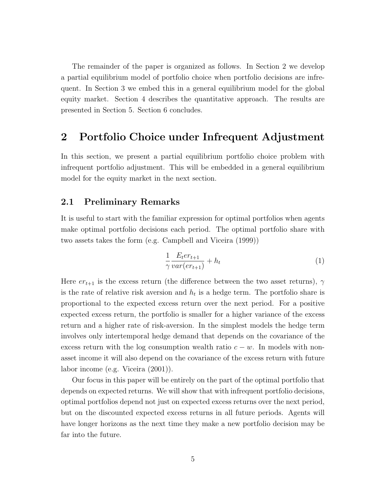The remainder of the paper is organized as follows. In Section 2 we develop a partial equilibrium model of portfolio choice when portfolio decisions are infrequent. In Section 3 we embed this in a general equilibrium model for the global equity market. Section 4 describes the quantitative approach. The results are presented in Section 5. Section 6 concludes.

# 2 Portfolio Choice under Infrequent Adjustment

In this section, we present a partial equilibrium portfolio choice problem with infrequent portfolio adjustment. This will be embedded in a general equilibrium model for the equity market in the next section.

# 2.1 Preliminary Remarks

It is useful to start with the familiar expression for optimal portfolios when agents make optimal portfolio decisions each period. The optimal portfolio share with two assets takes the form (e.g. Campbell and Viceira (1999))

$$
\frac{1}{\gamma} \frac{E_t e r_{t+1}}{var(er_{t+1})} + h_t \tag{1}
$$

Here  $er_{t+1}$  is the excess return (the difference between the two asset returns),  $\gamma$ is the rate of relative risk aversion and  $h_t$  is a hedge term. The portfolio share is proportional to the expected excess return over the next period. For a positive expected excess return, the portfolio is smaller for a higher variance of the excess return and a higher rate of risk-aversion. In the simplest models the hedge term involves only intertemporal hedge demand that depends on the covariance of the excess return with the log consumption wealth ratio  $c - w$ . In models with nonasset income it will also depend on the covariance of the excess return with future labor income (e.g. Viceira (2001)).

Our focus in this paper will be entirely on the part of the optimal portfolio that depends on expected returns. We will show that with infrequent portfolio decisions, optimal portfolios depend not just on expected excess returns over the next period, but on the discounted expected excess returns in all future periods. Agents will have longer horizons as the next time they make a new portfolio decision may be far into the future.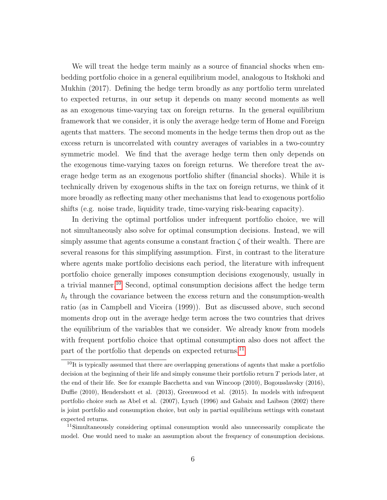We will treat the hedge term mainly as a source of financial shocks when embedding portfolio choice in a general equilibrium model, analogous to Itskhoki and Mukhin (2017). Defining the hedge term broadly as any portfolio term unrelated to expected returns, in our setup it depends on many second moments as well as an exogenous time-varying tax on foreign returns. In the general equilibrium framework that we consider, it is only the average hedge term of Home and Foreign agents that matters. The second moments in the hedge terms then drop out as the excess return is uncorrelated with country averages of variables in a two-country symmetric model. We find that the average hedge term then only depends on the exogenous time-varying taxes on foreign returns. We therefore treat the average hedge term as an exogenous portfolio shifter (financial shocks). While it is technically driven by exogenous shifts in the tax on foreign returns, we think of it more broadly as reflecting many other mechanisms that lead to exogenous portfolio shifts (e.g. noise trade, liquidity trade, time-varying risk-bearing capacity).

In deriving the optimal portfolios under infrequent portfolio choice, we will not simultaneously also solve for optimal consumption decisions. Instead, we will simply assume that agents consume a constant fraction  $\zeta$  of their wealth. There are several reasons for this simplifying assumption. First, in contrast to the literature where agents make portfolio decisions each period, the literature with infrequent portfolio choice generally imposes consumption decisions exogenously, usually in a trivial manner.[10](#page-7-0) Second, optimal consumption decisions affect the hedge term  $h_t$  through the covariance between the excess return and the consumption-wealth ratio (as in Campbell and Viceira (1999)). But as discussed above, such second moments drop out in the average hedge term across the two countries that drives the equilibrium of the variables that we consider. We already know from models with frequent portfolio choice that optimal consumption also does not affect the part of the portfolio that depends on expected returns.<sup>[11](#page-7-1)</sup>

<span id="page-7-0"></span> $10$ It is typically assumed that there are overlapping generations of agents that make a portfolio decision at the beginning of their life and simply consume their portfolio return T periods later, at the end of their life. See for example Bacchetta and van Wincoop (2010), Bogousslavsky (2016), Duffie (2010), Hendershott et al. (2013), Greenwood et al. (2015). In models with infrequent portfolio choice such as Abel et al. (2007), Lynch (1996) and Gabaix and Laibson (2002) there is joint portfolio and consumption choice, but only in partial equilibrium settings with constant expected returns.

<span id="page-7-1"></span><sup>&</sup>lt;sup>11</sup>Simultaneously considering optimal consumption would also unnecessarily complicate the model. One would need to make an assumption about the frequency of consumption decisions.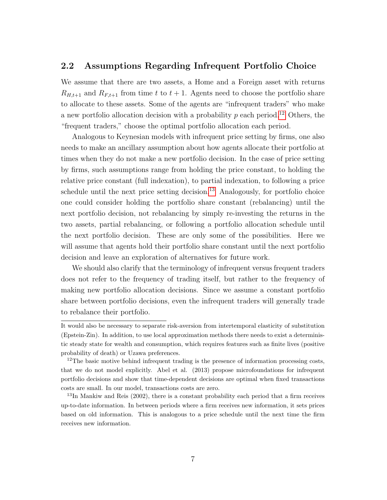### 2.2 Assumptions Regarding Infrequent Portfolio Choice

We assume that there are two assets, a Home and a Foreign asset with returns  $R_{H,t+1}$  and  $R_{F,t+1}$  from time t to  $t + 1$ . Agents need to choose the portfolio share to allocate to these assets. Some of the agents are "infrequent traders" who make a new portfolio allocation decision with a probability  $p$  each period.<sup>[12](#page-8-0)</sup> Others, the "frequent traders," choose the optimal portfolio allocation each period.

Analogous to Keynesian models with infrequent price setting by firms, one also needs to make an ancillary assumption about how agents allocate their portfolio at times when they do not make a new portfolio decision. In the case of price setting by firms, such assumptions range from holding the price constant, to holding the relative price constant (full indexation), to partial indexation, to following a price schedule until the next price setting decision.<sup>[13](#page-8-1)</sup> Analogously, for portfolio choice one could consider holding the portfolio share constant (rebalancing) until the next portfolio decision, not rebalancing by simply re-investing the returns in the two assets, partial rebalancing, or following a portfolio allocation schedule until the next portfolio decision. These are only some of the possibilities. Here we will assume that agents hold their portfolio share constant until the next portfolio decision and leave an exploration of alternatives for future work.

We should also clarify that the terminology of infrequent versus frequent traders does not refer to the frequency of trading itself, but rather to the frequency of making new portfolio allocation decisions. Since we assume a constant portfolio share between portfolio decisions, even the infrequent traders will generally trade to rebalance their portfolio.

It would also be necessary to separate risk-aversion from intertemporal elasticity of substitution (Epstein-Zin). In addition, to use local approximation methods there needs to exist a deterministic steady state for wealth and consumption, which requires features such as finite lives (positive probability of death) or Uzawa preferences.

<span id="page-8-0"></span><sup>&</sup>lt;sup>12</sup>The basic motive behind infrequent trading is the presence of information processing costs, that we do not model explicitly. Abel et al. (2013) propose microfoundations for infrequent portfolio decisions and show that time-dependent decisions are optimal when fixed transactions costs are small. In our model, transactions costs are zero.

<span id="page-8-1"></span> $13$ In Mankiw and Reis (2002), there is a constant probability each period that a firm receives up-to-date information. In between periods where a firm receives new information, it sets prices based on old information. This is analogous to a price schedule until the next time the firm receives new information.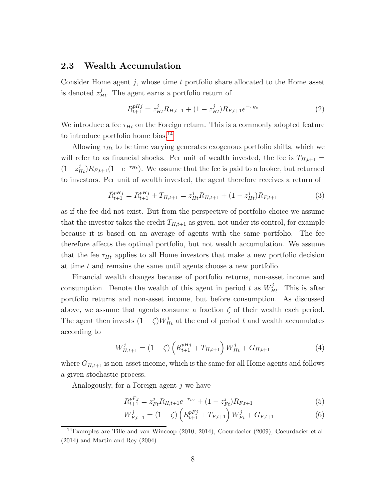### 2.3 Wealth Accumulation

Consider Home agent j, whose time t portfolio share allocated to the Home asset is denoted  $z_{Ht}^j$ . The agent earns a portfolio return of

$$
R_{t+1}^{pHj} = z_{Ht}^j R_{H,t+1} + (1 - z_{Ht}^j) R_{F,t+1} e^{-\tau_{Ht}}
$$
\n
$$
\tag{2}
$$

We introduce a fee  $\tau_{Ht}$  on the Foreign return. This is a commonly adopted feature to introduce portfolio home bias.<sup>[14](#page-9-0)</sup>

Allowing  $\tau_{Ht}$  to be time varying generates exogenous portfolio shifts, which we will refer to as financial shocks. Per unit of wealth invested, the fee is  $T_{H,t+1}$  =  $(1-z_{Ht}^j)R_{F,t+1}(1-e^{-\tau_{Ht}})$ . We assume that the fee is paid to a broker, but returned to investors. Per unit of wealth invested, the agent therefore receives a return of

<span id="page-9-2"></span>
$$
\hat{R}_{t+1}^{pHj} = R_{t+1}^{pHj} + T_{H,t+1} = z_{Ht}^j R_{H,t+1} + (1 - z_{Ht}^j) R_{F,t+1}
$$
\n(3)

as if the fee did not exist. But from the perspective of portfolio choice we assume that the investor takes the credit  $T_{H,t+1}$  as given, not under its control, for example because it is based on an average of agents with the same portfolio. The fee therefore affects the optimal portfolio, but not wealth accumulation. We assume that the fee  $\tau_{Ht}$  applies to all Home investors that make a new portfolio decision at time t and remains the same until agents choose a new portfolio.

Financial wealth changes because of portfolio returns, non-asset income and consumption. Denote the wealth of this agent in period t as  $W_{Ht}^{j}$ . This is after portfolio returns and non-asset income, but before consumption. As discussed above, we assume that agents consume a fraction  $\zeta$  of their wealth each period. The agent then invests  $(1 - \zeta)W_{Ht}^j$  at the end of period t and wealth accumulates according to

<span id="page-9-3"></span>
$$
W_{H,t+1}^{j} = (1 - \zeta) \left( R_{t+1}^{pHj} + T_{H,t+1} \right) W_{Ht}^{j} + G_{H,t+1}
$$
\n<sup>(4)</sup>

where  $G_{H,t+1}$  is non-asset income, which is the same for all Home agents and follows a given stochastic process.

Analogously, for a Foreign agent j we have

<span id="page-9-1"></span>
$$
R_{t+1}^{pFj} = z_{Ft}^j R_{H,t+1} e^{-\tau_{Ft}} + (1 - z_{Ft}^j) R_{F,t+1}
$$
\n
$$
\tag{5}
$$

$$
W_{F,t+1}^{j} = (1 - \zeta) \left( R_{t+1}^{pFj} + T_{F,t+1} \right) W_{Ft}^{j} + G_{F,t+1}
$$
 (6)

<span id="page-9-0"></span><sup>14</sup>Examples are Tille and van Wincoop (2010, 2014), Coeurdacier (2009), Coeurdacier et.al. (2014) and Martin and Rey (2004).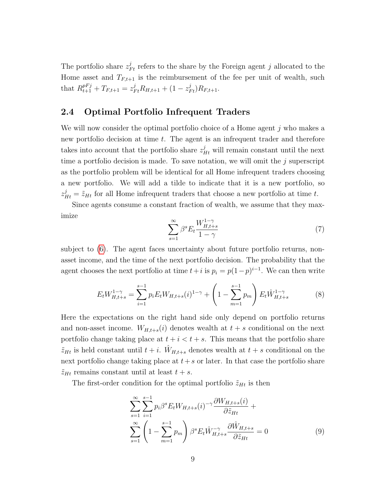The portfolio share  $z_{Ft}^j$  refers to the share by the Foreign agent j allocated to the Home asset and  $T_{F,t+1}$  is the reimbursement of the fee per unit of wealth, such that  $R_{t+1}^{pFj} + T_{F,t+1} = z_{Ft}^j R_{H,t+1} + (1 - z_{Ft}^j) R_{F,t+1}.$ 

#### 2.4 Optimal Portfolio Infrequent Traders

We will now consider the optimal portfolio choice of a Home agent  $j$  who makes a new portfolio decision at time  $t$ . The agent is an infrequent trader and therefore takes into account that the portfolio share  $z_{Ht}^j$  will remain constant until the next time a portfolio decision is made. To save notation, we will omit the  $j$  superscript as the portfolio problem will be identical for all Home infrequent traders choosing a new portfolio. We will add a tilde to indicate that it is a new portfolio, so  $z_{Ht}^{j} = \tilde{z}_{Ht}$  for all Home infrequent traders that choose a new portfolio at time t.

Since agents consume a constant fraction of wealth, we assume that they maximize

$$
\sum_{s=1}^{\infty} \beta^s E_t \frac{W_{H,t+s}^{1-\gamma}}{1-\gamma}
$$
 (7)

subject to [\(6\)](#page-9-1). The agent faces uncertainty about future portfolio returns, nonasset income, and the time of the next portfolio decision. The probability that the agent chooses the next portfolio at time  $t+i$  is  $p_i = p(1-p)^{i-1}$ . We can then write

$$
E_t W_{H,t+s}^{1-\gamma} = \sum_{i=1}^{s-1} p_i E_t W_{H,t+s}(i)^{1-\gamma} + \left(1 - \sum_{m=1}^{s-1} p_m\right) E_t \hat{W}_{H,t+s}^{1-\gamma} \tag{8}
$$

Here the expectations on the right hand side only depend on portfolio returns and non-asset income.  $W_{H,t+s}(i)$  denotes wealth at  $t+s$  conditional on the next portfolio change taking place at  $t + i < t + s$ . This means that the portfolio share  $\tilde{z}_{Ht}$  is held constant until  $t + i$ .  $\tilde{W}_{H,t+s}$  denotes wealth at  $t + s$  conditional on the next portfolio change taking place at  $t+s$  or later. In that case the portfolio share  $\tilde{z}_{Ht}$  remains constant until at least  $t + s$ .

The first-order condition for the optimal portfolio  $\tilde{z}_{Ht}$  is then

<span id="page-10-0"></span>
$$
\sum_{s=1}^{\infty} \sum_{i=1}^{s-1} p_i \beta^s E_t W_{H,t+s}(i)^{-\gamma} \frac{\partial W_{H,t+s}(i)}{\partial \tilde{z}_{Ht}} + \sum_{s=1}^{\infty} \left( 1 - \sum_{m=1}^{s-1} p_m \right) \beta^s E_t \hat{W}_{H,t+s}^{-\gamma} \frac{\partial \hat{W}_{H,t+s}}{\partial \tilde{z}_{Ht}} = 0 \tag{9}
$$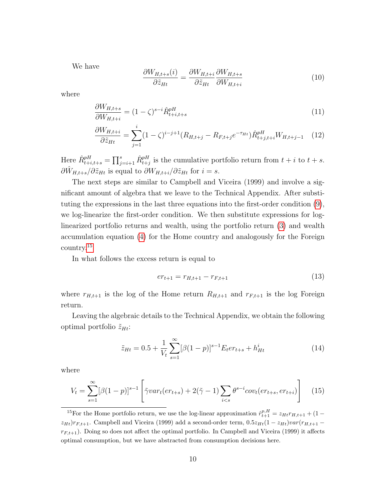We have

$$
\frac{\partial W_{H,t+s}(i)}{\partial \tilde{z}_{Ht}} = \frac{\partial W_{H,t+i}}{\partial \tilde{z}_{Ht}} \frac{\partial W_{H,t+s}}{\partial W_{H,t+i}} \tag{10}
$$

where

<span id="page-11-1"></span>
$$
\frac{\partial W_{H,t+s}}{\partial W_{H,t+i}} = (1 - \zeta)^{s-i} \hat{R}_{t+i,t+s}^{pH}
$$
\n(11)

$$
\frac{\partial W_{H,t+i}}{\partial \tilde{z}_{Ht}} = \sum_{j=1}^{i} (1 - \zeta)^{i-j+1} (R_{H,t+j} - R_{F,t+j} e^{-\tau_{Ht}}) \hat{R}_{t+j,t+i}^{pH} W_{H,t+j-1} \quad (12)
$$

Here  $\hat{R}_{t+i,t+s}^{pH} = \prod_{j=i+1}^s \hat{R}_{t+j}^{pH}$  is the cumulative portfolio return from  $t+i$  to  $t+s$ .  $\partial \hat{W}_{H,t+s}/\partial \tilde{z}_{Ht}$  is equal to  $\partial W_{H,t+i}/\partial \tilde{z}_{Ht}$  for  $i=s$ .

The next steps are similar to Campbell and Viceira (1999) and involve a significant amount of algebra that we leave to the Technical Appendix. After substituting the expressions in the last three equations into the first-order condition [\(9\)](#page-10-0), we log-linearize the first-order condition. We then substitute expressions for loglinearized portfolio returns and wealth, using the portfolio return [\(3\)](#page-9-2) and wealth accumulation equation [\(4\)](#page-9-3) for the Home country and analogously for the Foreign country.[15](#page-11-0)

In what follows the excess return is equal to

$$
er_{t+1} = r_{H,t+1} - r_{F,t+1}
$$
\n(13)

where  $r_{H,t+1}$  is the log of the Home return  $R_{H,t+1}$  and  $r_{F,t+1}$  is the log Foreign return.

Leaving the algebraic details to the Technical Appendix, we obtain the following optimal portfolio  $\tilde{z}_{Ht}$ :

<span id="page-11-2"></span>
$$
\tilde{z}_{Ht} = 0.5 + \frac{1}{V_t} \sum_{s=1}^{\infty} [\beta(1-p)]^{s-1} E_t e r_{t+s} + h^i_{Ht}
$$
\n(14)

where

<span id="page-11-3"></span>
$$
V_t = \sum_{s=1}^{\infty} [\beta(1-p)]^{s-1} \left[ \tilde{\gamma} var_t(er_{t+s}) + 2(\tilde{\gamma} - 1) \sum_{i < s} \theta^{s-i} cov_t(er_{t+s}, er_{t+i}) \right] \tag{15}
$$

<span id="page-11-0"></span><sup>&</sup>lt;sup>15</sup>For the Home portfolio return, we use the log-linear approximation  $\hat{r}_{t+1}^{p,H} = z_{Ht}r_{H,t+1} + (1$  $z_{Ht}$ ) $r_{F,t+1}$ . Campbell and Viceira (1999) add a second-order term,  $0.5z_{Ht}(1 - z_{Ht})var(r_{H,t+1} - z_{Ht})$  $r_{F,t+1}$ ). Doing so does not affect the optimal portfolio. In Campbell and Viceira (1999) it affects optimal consumption, but we have abstracted from consumption decisions here.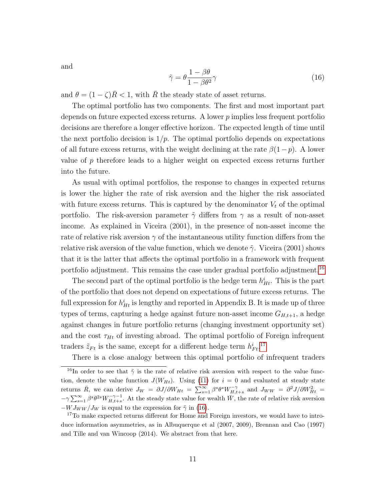and

<span id="page-12-2"></span>
$$
\tilde{\gamma} = \theta \frac{1 - \beta \theta}{1 - \beta \theta^2} \gamma \tag{16}
$$

and  $\theta = (1 - \zeta)\bar{R} < 1$ , with  $\bar{R}$  the steady state of asset returns.

The optimal portfolio has two components. The first and most important part depends on future expected excess returns. A lower  $p$  implies less frequent portfolio decisions are therefore a longer effective horizon. The expected length of time until the next portfolio decision is  $1/p$ . The optimal portfolio depends on expectations of all future excess returns, with the weight declining at the rate  $\beta(1-p)$ . A lower value of p therefore leads to a higher weight on expected excess returns further into the future.

As usual with optimal portfolios, the response to changes in expected returns is lower the higher the rate of risk aversion and the higher the risk associated with future excess returns. This is captured by the denominator  $V_t$  of the optimal portfolio. The risk-aversion parameter  $\tilde{\gamma}$  differs from  $\gamma$  as a result of non-asset income. As explained in Viceira (2001), in the presence of non-asset income the rate of relative risk aversion  $\gamma$  of the instantaneous utility function differs from the relative risk aversion of the value function, which we denote  $\tilde{\gamma}$ . Viceira (2001) shows that it is the latter that affects the optimal portfolio in a framework with frequent portfolio adjustment. This remains the case under gradual portfolio adjustment.<sup>[16](#page-12-0)</sup>

The second part of the optimal portfolio is the hedge term  $h_{Ht}^{i}$ . This is the part of the portfolio that does not depend on expectations of future excess returns. The full expression for  $h_{Ht}^i$  is lengthy and reported in Appendix B. It is made up of three types of terms, capturing a hedge against future non-asset income  $G_{H,t+1}$ , a hedge against changes in future portfolio returns (changing investment opportunity set) and the cost  $\tau_{Ht}$  of investing abroad. The optimal portfolio of Foreign infrequent traders  $\tilde{z}_{Ft}$  is the same, except for a different hedge term  $h_{Ft}^{i}$ .<sup>[17](#page-12-1)</sup>

<span id="page-12-0"></span>There is a close analogy between this optimal portfolio of infrequent traders

<sup>&</sup>lt;sup>16</sup>In order to see that  $\tilde{\gamma}$  is the rate of relative risk aversion with respect to the value function, denote the value function  $J(W_{Ht})$ . Using [\(11\)](#page-11-1) for  $i = 0$  and evaluated at steady state returns  $\bar{R}$ , we can derive  $J_W = \partial J/\partial W_{Ht} = \sum_{s=1}^{\infty} \beta^s \theta^s W_{H,t+s}^{-\gamma}$  and  $J_{WW} = \partial^2 J/\partial W_{Ht}^2 =$  $-\gamma \sum_{s=1}^{\infty} \beta^s \theta^{2s} W_{H,t+s}^{-\gamma-1}$ . At the steady state value for wealth  $\bar{W}$ , the rate of relative risk aversion  $-WJ_{WW}/J_W$  is equal to the expression for  $\tilde{\gamma}$  in [\(16\)](#page-12-2).

<span id="page-12-1"></span><sup>&</sup>lt;sup>17</sup>To make expected returns different for Home and Foreign investors, we would have to introduce information asymmetries, as in Albuquerque et al (2007, 2009), Brennan and Cao (1997) and Tille and van Wincoop (2014). We abstract from that here.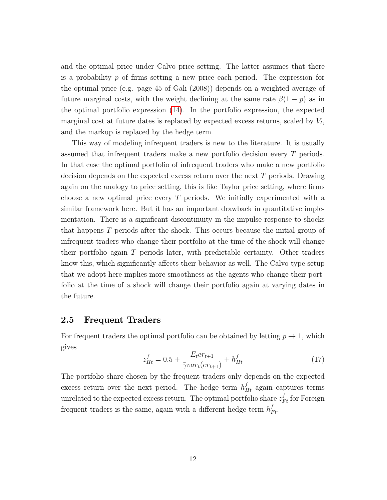and the optimal price under Calvo price setting. The latter assumes that there is a probability  $p$  of firms setting a new price each period. The expression for the optimal price (e.g. page 45 of Gali (2008)) depends on a weighted average of future marginal costs, with the weight declining at the same rate  $\beta(1-p)$  as in the optimal portfolio expression [\(14\)](#page-11-2). In the portfolio expression, the expected marginal cost at future dates is replaced by expected excess returns, scaled by  $V_t$ , and the markup is replaced by the hedge term.

This way of modeling infrequent traders is new to the literature. It is usually assumed that infrequent traders make a new portfolio decision every T periods. In that case the optimal portfolio of infrequent traders who make a new portfolio decision depends on the expected excess return over the next T periods. Drawing again on the analogy to price setting, this is like Taylor price setting, where firms choose a new optimal price every T periods. We initially experimented with a similar framework here. But it has an important drawback in quantitative implementation. There is a significant discontinuity in the impulse response to shocks that happens T periods after the shock. This occurs because the initial group of infrequent traders who change their portfolio at the time of the shock will change their portfolio again T periods later, with predictable certainty. Other traders know this, which significantly affects their behavior as well. The Calvo-type setup that we adopt here implies more smoothness as the agents who change their portfolio at the time of a shock will change their portfolio again at varying dates in the future.

### 2.5 Frequent Traders

For frequent traders the optimal portfolio can be obtained by letting  $p \to 1$ , which gives

$$
z_{Ht}^f = 0.5 + \frac{E_t e r_{t+1}}{\tilde{\gamma} v a r_t (e r_{t+1})} + h_{Ht}^f \tag{17}
$$

The portfolio share chosen by the frequent traders only depends on the expected excess return over the next period. The hedge term  $h_{Ht}^f$  again captures terms unrelated to the expected excess return. The optimal portfolio share  $z_{Ft}^f$  for Foreign frequent traders is the same, again with a different hedge term  $h_{Ft}^f$ .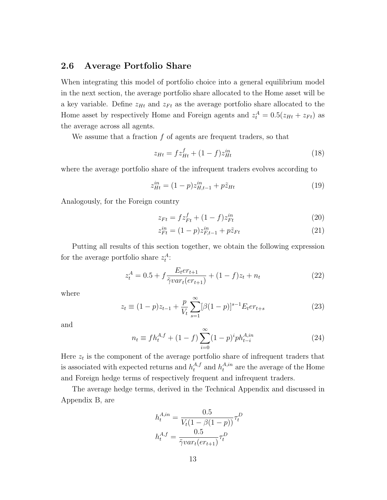# 2.6 Average Portfolio Share

When integrating this model of portfolio choice into a general equilibrium model in the next section, the average portfolio share allocated to the Home asset will be a key variable. Define  $z_{Ht}$  and  $z_{Ft}$  as the average portfolio share allocated to the Home asset by respectively Home and Foreign agents and  $z_t^A = 0.5(z_{Ht} + z_{Ft})$  as the average across all agents.

We assume that a fraction  $f$  of agents are frequent traders, so that

$$
z_{Ht} = fz_{Ht}^f + (1 - f)z_{Ht}^{in}
$$
\n(18)

where the average portfolio share of the infrequent traders evolves according to

$$
z_{Ht}^{in} = (1 - p)z_{H,t-1}^{in} + p\tilde{z}_{Ht}
$$
\n(19)

Analogously, for the Foreign country

$$
z_{Ft} = fz_{Ft}^f + (1 - f)z_{Ft}^{in}
$$
 (20)

$$
z_{Ft}^{in} = (1-p)z_{F,t-1}^{in} + p\tilde{z}_{Ft}
$$
\n(21)

Putting all results of this section together, we obtain the following expression for the average portfolio share  $z_t^A$ :

<span id="page-14-0"></span>
$$
z_t^A = 0.5 + f \frac{E_t e r_{t+1}}{\tilde{\gamma} v a r_t (e r_{t+1})} + (1 - f) z_t + n_t \tag{22}
$$

where

<span id="page-14-1"></span>
$$
z_t \equiv (1-p)z_{t-1} + \frac{p}{V_t} \sum_{s=1}^{\infty} [\beta(1-p)]^{s-1} E_t e r_{t+s}
$$
 (23)

and

$$
n_t \equiv f h_t^{A,f} + (1 - f) \sum_{i=0}^{\infty} (1 - p)^i p h_{t-i}^{A,in}
$$
 (24)

Here  $z_t$  is the component of the average portfolio share of infrequent traders that is associated with expected returns and  $h_t^{A,f}$  and  $h_t^{A,in}$  are the average of the Home and Foreign hedge terms of respectively frequent and infrequent traders.

The average hedge terms, derived in the Technical Appendix and discussed in Appendix B, are

$$
h_t^{A,in} = \frac{0.5}{V_t(1 - \beta(1 - p))} \tau_t^D
$$

$$
h_t^{A,f} = \frac{0.5}{\tilde{\gamma}var_t(er_{t+1})} \tau_t^D
$$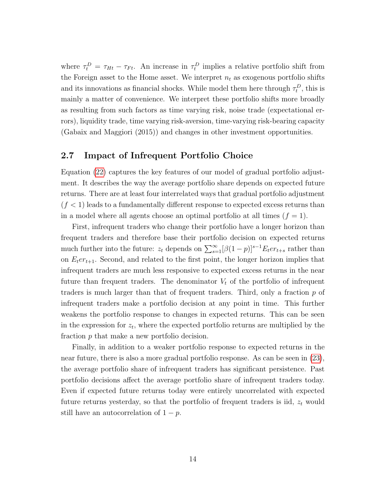where  $\tau_t^D = \tau_{Ht} - \tau_{Ft}$ . An increase in  $\tau_t^D$  implies a relative portfolio shift from the Foreign asset to the Home asset. We interpret  $n_t$  as exogenous portfolio shifts and its innovations as financial shocks. While model them here through  $\tau_t^D$ , this is mainly a matter of convenience. We interpret these portfolio shifts more broadly as resulting from such factors as time varying risk, noise trade (expectational errors), liquidity trade, time varying risk-aversion, time-varying risk-bearing capacity (Gabaix and Maggiori (2015)) and changes in other investment opportunities.

### 2.7 Impact of Infrequent Portfolio Choice

Equation [\(22\)](#page-14-0) captures the key features of our model of gradual portfolio adjustment. It describes the way the average portfolio share depends on expected future returns. There are at least four interrelated ways that gradual portfolio adjustment  $(f < 1)$  leads to a fundamentally different response to expected excess returns than in a model where all agents choose an optimal portfolio at all times  $(f = 1)$ .

First, infrequent traders who change their portfolio have a longer horizon than frequent traders and therefore base their portfolio decision on expected returns much further into the future:  $z_t$  depends on  $\sum_{s=1}^{\infty} [\beta(1-p)]^{s-1} E_t e r_{t+s}$  rather than on  $E_t$ er<sub>t+1</sub>. Second, and related to the first point, the longer horizon implies that infrequent traders are much less responsive to expected excess returns in the near future than frequent traders. The denominator  $V_t$  of the portfolio of infrequent traders is much larger than that of frequent traders. Third, only a fraction p of infrequent traders make a portfolio decision at any point in time. This further weakens the portfolio response to changes in expected returns. This can be seen in the expression for  $z_t$ , where the expected portfolio returns are multiplied by the fraction p that make a new portfolio decision.

Finally, in addition to a weaker portfolio response to expected returns in the near future, there is also a more gradual portfolio response. As can be seen in [\(23\)](#page-14-1), the average portfolio share of infrequent traders has significant persistence. Past portfolio decisions affect the average portfolio share of infrequent traders today. Even if expected future returns today were entirely uncorrelated with expected future returns yesterday, so that the portfolio of frequent traders is iid,  $z_t$  would still have an autocorrelation of  $1 - p$ .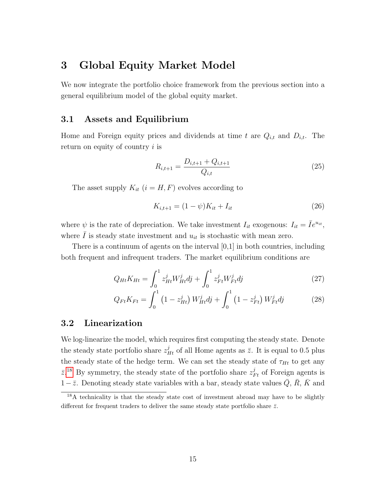# 3 Global Equity Market Model

We now integrate the portfolio choice framework from the previous section into a general equilibrium model of the global equity market.

# 3.1 Assets and Equilibrium

Home and Foreign equity prices and dividends at time t are  $Q_{i,t}$  and  $D_{i,t}$ . The return on equity of country  $i$  is

<span id="page-16-1"></span>
$$
R_{i,t+1} = \frac{D_{i,t+1} + Q_{i,t+1}}{Q_{i,t}}
$$
\n(25)

The asset supply  $K_{it}$   $(i = H, F)$  evolves according to

<span id="page-16-2"></span>
$$
K_{i,t+1} = (1 - \psi)K_{it} + I_{it} \tag{26}
$$

where  $\psi$  is the rate of depreciation. We take investment  $I_{it}$  exogenous:  $I_{it} = \overline{I}e^{u_{it}},$ where  $I$  is steady state investment and  $u_{it}$  is stochastic with mean zero.

There is a continuum of agents on the interval [0,1] in both countries, including both frequent and infrequent traders. The market equilibrium conditions are

<span id="page-16-3"></span>
$$
Q_{Ht}K_{Ht} = \int_0^1 z_{Ht}^j W_{Ht}^j dj + \int_0^1 z_{Ft}^j W_{Ft}^j dj \tag{27}
$$

$$
Q_{Ft}K_{Ft} = \int_0^1 (1 - z_{Ht}^j) W_{Ht}^j dj + \int_0^1 (1 - z_{Ft}^j) W_{Ft}^j dj \qquad (28)
$$

### 3.2 Linearization

We log-linearize the model, which requires first computing the steady state. Denote the steady state portfolio share  $z_{Ht}^j$  of all Home agents as  $\bar{z}$ . It is equal to 0.5 plus the steady state of the hedge term. We can set the steady state of  $\tau_{Ht}$  to get any  $\bar{z}$ <sup>[18](#page-16-0)</sup> By symmetry, the steady state of the portfolio share  $z_{Ft}^{j}$  of Foreign agents is  $1-\bar{z}$ . Denoting steady state variables with a bar, steady state values  $\bar{Q}$ ,  $\bar{R}$ ,  $\bar{K}$  and

<span id="page-16-0"></span><sup>18</sup>A technicality is that the steady state cost of investment abroad may have to be slightly different for frequent traders to deliver the same steady state portfolio share  $\bar{z}$ .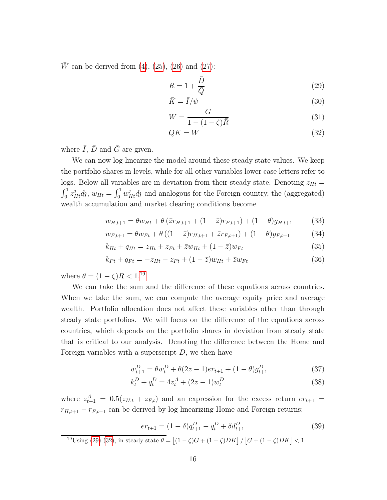$\bar{W}$  can be derived from [\(4\)](#page-9-3), [\(25\)](#page-16-1), [\(26\)](#page-16-2) and [\(27\)](#page-16-3):

<span id="page-17-1"></span>
$$
\bar{R} = 1 + \frac{\bar{D}}{\bar{Q}}\tag{29}
$$

$$
\bar{K} = \bar{I}/\psi \tag{30}
$$
\n
$$
\bar{K} = \bar{I}/\psi \tag{31}
$$

$$
\bar{W} = \frac{G}{1 - (1 - \zeta)\bar{R}}\tag{31}
$$

$$
\bar{Q}\bar{K} = \bar{W} \tag{32}
$$

where  $\overline{I}$ ,  $\overline{D}$  and  $\overline{G}$  are given.

We can now log-linearize the model around these steady state values. We keep the portfolio shares in levels, while for all other variables lower case letters refer to logs. Below all variables are in deviation from their steady state. Denoting  $z_{Ht} =$  $\int_0^1 z_{Ht}^j dy$ ,  $w_{Ht} = \int_0^1 w_{Ht}^j dy$  and analogous for the Foreign country, the (aggregated) wealth accumulation and market clearing conditions become

<span id="page-17-2"></span>
$$
w_{H,t+1} = \theta w_{Ht} + \theta \left( \bar{z}r_{H,t+1} + (1 - \bar{z})r_{F,t+1} \right) + (1 - \theta)g_{H,t+1} \tag{33}
$$

$$
w_{F,t+1} = \theta w_{Ft} + \theta \left( (1 - \bar{z})r_{H,t+1} + \bar{z}r_{F,t+1} \right) + (1 - \theta)g_{F,t+1}
$$
(34)

$$
k_{Ht} + q_{Ht} = z_{Ht} + z_{Ft} + \bar{z}w_{Ht} + (1 - \bar{z})w_{Ft}
$$
\n(35)

$$
k_{Ft} + q_{Ft} = -z_{Ht} - z_{Ft} + (1 - \bar{z})w_{Ht} + \bar{z}w_{Ft}
$$
\n(36)

where  $\theta = (1 - \zeta)\bar{R} < 1.^{19}$  $\theta = (1 - \zeta)\bar{R} < 1.^{19}$  $\theta = (1 - \zeta)\bar{R} < 1.^{19}$ 

We can take the sum and the difference of these equations across countries. When we take the sum, we can compute the average equity price and average wealth. Portfolio allocation does not affect these variables other than through steady state portfolios. We will focus on the difference of the equations across countries, which depends on the portfolio shares in deviation from steady state that is critical to our analysis. Denoting the difference between the Home and Foreign variables with a superscript  $D$ , we then have

$$
w_{t+1}^D = \theta w_t^D + \theta (2\bar{z} - 1) e r_{t+1} + (1 - \theta) g_{t+1}^D
$$
\n(37)

$$
k_t^D + q_t^D = 4z_t^A + (2\bar{z} - 1)w_t^D
$$
\n(38)

where  $z_{t+1}^A = 0.5(z_{H,t} + z_{F,t})$  and an expression for the excess return  $er_{t+1} =$  $r_{H,t+1} - r_{F,t+1}$  can be derived by log-linearizing Home and Foreign returns:

$$
er_{t+1} = (1 - \delta)q_{t+1}^D - q_t^D + \delta d_{t+1}^D
$$
\n(39)

<span id="page-17-0"></span>
$$
{}^{19}\text{Using (29)-(32), in steady state }\theta = \left[ (1-\zeta)\bar{G} + (1-\zeta)\bar{D}\bar{K} \right] / \left[ \bar{G} + (1-\zeta)\bar{D}\bar{K} \right] < 1.
$$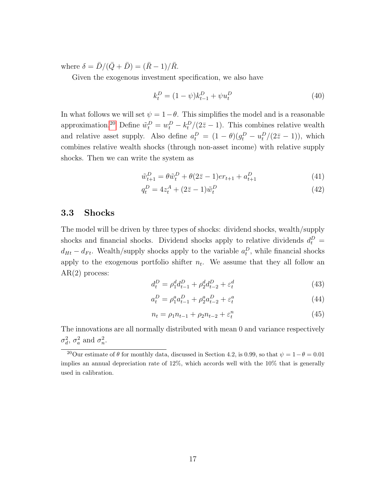where  $\delta = \bar{D}/(\bar{Q} + \bar{D}) = (\bar{R} - 1)/\bar{R}$ .

Given the exogenous investment specification, we also have

$$
k_t^D = (1 - \psi)k_{t-1}^D + \psi u_t^D
$$
\n(40)

In what follows we will set  $\psi = 1 - \theta$ . This simplifies the model and is a reasonable approximation.<sup>[20](#page-18-0)</sup> Define  $\tilde{w}_t^D = w_t^D - k_t^D/(2\bar{z} - 1)$ . This combines relative wealth and relative asset supply. Also define  $a_t^D = (1 - \theta)(g_t^D - u_t^D/(2\bar{z} - 1))$ , which combines relative wealth shocks (through non-asset income) with relative supply shocks. Then we can write the system as

$$
\tilde{w}_{t+1}^D = \theta \tilde{w}_t^D + \theta (2\bar{z} - 1) er_{t+1} + a_{t+1}^D
$$
\n(41)

$$
q_t^D = 4z_t^A + (2\bar{z} - 1)\tilde{w}_t^D
$$
\n(42)

#### 3.3 Shocks

The model will be driven by three types of shocks: dividend shocks, wealth/supply shocks and financial shocks. Dividend shocks apply to relative dividends  $d_t^D$  =  $d_{Ht} - d_{Ft}$ . Wealth/supply shocks apply to the variable  $a_t^D$ , while financial shocks apply to the exogenous portfolio shifter  $n_t$ . We assume that they all follow an AR(2) process:

$$
d_t^D = \rho_1^d d_{t-1}^D + \rho_2^d d_{t-2}^D + \varepsilon_t^d
$$
\n(43)

$$
a_t^D = \rho_1^a a_{t-1}^D + \rho_2^a a_{t-2}^D + \varepsilon_t^a \tag{44}
$$

$$
n_t = \rho_1 n_{t-1} + \rho_2 n_{t-2} + \varepsilon_t^n \tag{45}
$$

The innovations are all normally distributed with mean 0 and variance respectively  $\sigma_d^2$ ,  $\sigma_a^2$  and  $\sigma_n^2$ .

<span id="page-18-0"></span><sup>&</sup>lt;sup>20</sup>Our estimate of  $\theta$  for monthly data, discussed in Section 4.2, is 0.99, so that  $\psi = 1 - \theta = 0.01$ implies an annual depreciation rate of 12%, which accords well with the 10% that is generally used in calibration.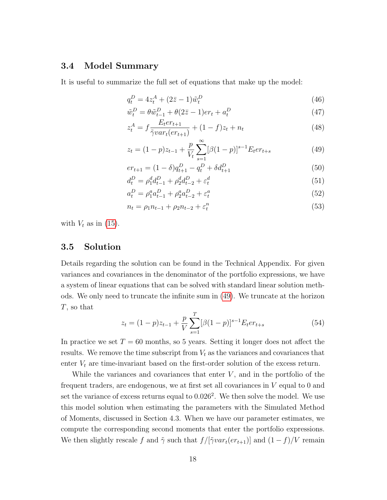## 3.4 Model Summary

It is useful to summarize the full set of equations that make up the model:

<span id="page-19-0"></span>
$$
q_t^D = 4z_t^A + (2\bar{z} - 1)\tilde{w}_t^D
$$
\n(46)

$$
\tilde{w}_t^D = \theta \tilde{w}_{t-1}^D + \theta (2\bar{z} - 1) er_t + a_t^D \tag{47}
$$

$$
z_t^A = f \frac{E_t e r_{t+1}}{\tilde{\gamma} v a r_t (e r_{t+1})} + (1 - f) z_t + n_t \tag{48}
$$

$$
z_t = (1 - p)z_{t-1} + \frac{p}{V_t} \sum_{s=1}^{\infty} [\beta(1 - p)]^{s-1} E_t e r_{t+s}
$$
(49)

$$
er_{t+1} = (1 - \delta)q_{t+1}^D - q_t^D + \delta d_{t+1}^D
$$
\n<sup>(50)</sup>

$$
d_t^D = \rho_1^d d_{t-1}^D + \rho_2^d d_{t-2}^D + \varepsilon_t^d \tag{51}
$$

$$
a_t^D = \rho_1^a a_{t-1}^D + \rho_2^a a_{t-2}^D + \varepsilon_t^a \tag{52}
$$

$$
n_t = \rho_1 n_{t-1} + \rho_2 n_{t-2} + \varepsilon_t^n \tag{53}
$$

with  $V_t$  as in [\(15\)](#page-11-3).

#### 3.5 Solution

Details regarding the solution can be found in the Technical Appendix. For given variances and covariances in the denominator of the portfolio expressions, we have a system of linear equations that can be solved with standard linear solution methods. We only need to truncate the infinite sum in [\(49\)](#page-19-0). We truncate at the horizon T, so that

$$
z_t = (1-p)z_{t-1} + \frac{p}{V} \sum_{s=1}^{T} [\beta(1-p)]^{s-1} E_t e r_{t+s}
$$
(54)

In practice we set  $T = 60$  months, so 5 years. Setting it longer does not affect the results. We remove the time subscript from  $V_t$  as the variances and covariances that enter  $V_t$  are time-invariant based on the first-order solution of the excess return.

While the variances and covariances that enter  $V$ , and in the portfolio of the frequent traders, are endogenous, we at first set all covariances in  $V$  equal to  $0$  and set the variance of excess returns equal to  $0.026^2$ . We then solve the model. We use this model solution when estimating the parameters with the Simulated Method of Moments, discussed in Section 4.3. When we have our parameter estimates, we compute the corresponding second moments that enter the portfolio expressions. We then slightly rescale f and  $\tilde{\gamma}$  such that  $f/[\tilde{\gamma}var_t(er_{t+1})]$  and  $(1-f)/V$  remain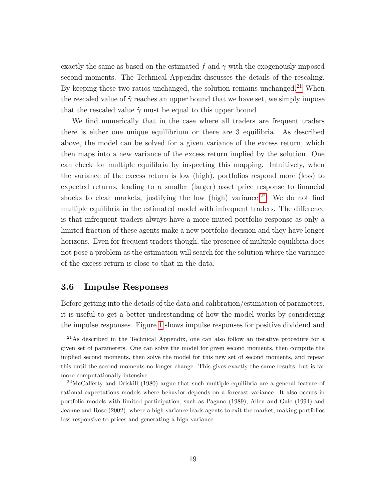exactly the same as based on the estimated f and  $\tilde{\gamma}$  with the exogenously imposed second moments. The Technical Appendix discusses the details of the rescaling. By keeping these two ratios unchanged, the solution remains unchanged.<sup>[21](#page-20-0)</sup> When the rescaled value of  $\tilde{\gamma}$  reaches an upper bound that we have set, we simply impose that the rescaled value  $\tilde{\gamma}$  must be equal to this upper bound.

We find numerically that in the case where all traders are frequent traders there is either one unique equilibrium or there are 3 equilibria. As described above, the model can be solved for a given variance of the excess return, which then maps into a new variance of the excess return implied by the solution. One can check for multiple equilibria by inspecting this mapping. Intuitively, when the variance of the excess return is low (high), portfolios respond more (less) to expected returns, leading to a smaller (larger) asset price response to financial shocks to clear markets, justifying the low (high) variance.<sup>[22](#page-20-1)</sup> We do not find multiple equilibria in the estimated model with infrequent traders. The difference is that infrequent traders always have a more muted portfolio response as only a limited fraction of these agents make a new portfolio decision and they have longer horizons. Even for frequent traders though, the presence of multiple equilibria does not pose a problem as the estimation will search for the solution where the variance of the excess return is close to that in the data.

#### 3.6 Impulse Responses

Before getting into the details of the data and calibration/estimation of parameters, it is useful to get a better understanding of how the model works by considering the impulse responses. Figure [1](#page-21-0) shows impulse responses for positive dividend and

<span id="page-20-0"></span><sup>21</sup>As described in the Technical Appendix, one can also follow an iterative procedure for a given set of parameters. One can solve the model for given second moments, then compute the implied second moments, then solve the model for this new set of second moments, and repeat this until the second moments no longer change. This gives exactly the same results, but is far more computationally intensive.

<span id="page-20-1"></span> $22$ McCafferty and Driskill (1980) argue that such multiple equilibria are a general feature of rational expectations models where behavior depends on a forecast variance. It also occurs in portfolio models with limited participation, such as Pagano (1989), Allen and Gale (1994) and Jeanne and Rose (2002), where a high variance leads agents to exit the market, making portfolios less responsive to prices and generating a high variance.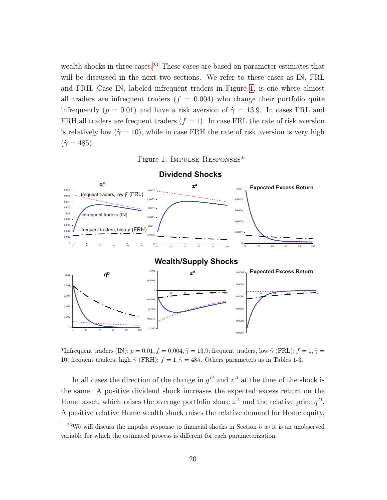wealth shocks in three cases.<sup>[23](#page-21-1)</sup> These cases are based on parameter estimates that will be discussed in the next two sections. We refer to these cases as IN, FRL and FRH. Case IN, labeled infrequent traders in Figure [1,](#page-21-0) is one where almost all traders are infrequent traders  $(f = 0.004)$  who change their portfolio quite infrequently ( $p = 0.01$ ) and have a risk aversion of  $\tilde{\gamma} = 13.9$ . In cases FRL and FRH all traders are frequent traders  $(f = 1)$ . In case FRL the rate of risk aversion is relatively low ( $\tilde{\gamma} = 10$ ), while in case FRH the rate of risk aversion is very high  $(\tilde{\gamma}=485).$ 

<span id="page-21-0"></span>



\*Infrequent traders (IN):  $p = 0.01, f = 0.004, \tilde{\gamma} = 13.9$ ; frequent traders, low  $\tilde{\gamma}$  (FRL):  $f = 1, \tilde{\gamma} =$ 10; frequent traders, high  $\tilde{\gamma}$  (FRH):  $f = 1, \tilde{\gamma} = 485$ . Others parameters as in Tables 1-3.

In all cases the direction of the change in  $q^D$  and  $z^A$  at the time of the shock is the same. A positive dividend shock increases the expected excess return on the Home asset, which raises the average portfolio share  $z^A$  and the relative price  $q^D$ . A positive relative Home wealth shock raises the relative demand for Home equity,

<span id="page-21-1"></span> $23$ We will discuss the impulse response to financial shocks in Section 5 as it is an unobserved variable for which the estimated process is different for each parameterization.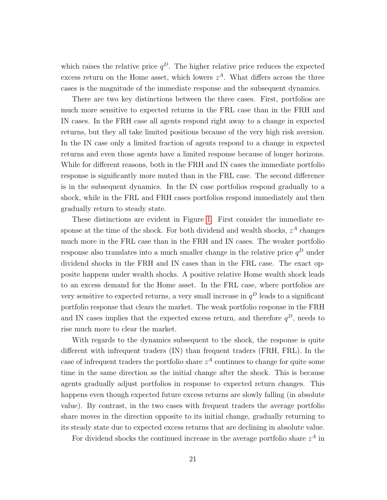which raises the relative price  $q^D$ . The higher relative price reduces the expected excess return on the Home asset, which lowers  $z<sup>A</sup>$ . What differs across the three cases is the magnitude of the immediate response and the subsequent dynamics.

There are two key distinctions between the three cases. First, portfolios are much more sensitive to expected returns in the FRL case than in the FRH and IN cases. In the FRH case all agents respond right away to a change in expected returns, but they all take limited positions because of the very high risk aversion. In the IN case only a limited fraction of agents respond to a change in expected returns and even those agents have a limited response because of longer horizons. While for different reasons, both in the FRH and IN cases the immediate portfolio response is significantly more muted than in the FRL case. The second difference is in the subsequent dynamics. In the IN case portfolios respond gradually to a shock, while in the FRL and FRH cases portfolios respond immediately and then gradually return to steady state.

These distinctions are evident in Figure [1.](#page-21-0) First consider the immediate response at the time of the shock. For both dividend and wealth shocks,  $z^A$  changes much more in the FRL case than in the FRH and IN cases. The weaker portfolio response also translates into a much smaller change in the relative price  $q^D$  under dividend shocks in the FRH and IN cases than in the FRL case. The exact opposite happens under wealth shocks. A positive relative Home wealth shock leads to an excess demand for the Home asset. In the FRL case, where portfolios are very sensitive to expected returns, a very small increase in  $q^D$  leads to a significant portfolio response that clears the market. The weak portfolio response in the FRH and IN cases implies that the expected excess return, and therefore  $q^D$ , needs to rise much more to clear the market.

With regards to the dynamics subsequent to the shock, the response is quite different with infrequent traders (IN) than frequent traders (FRH, FRL). In the case of infrequent traders the portfolio share  $z^A$  continues to change for quite some time in the same direction as the initial change after the shock. This is because agents gradually adjust portfolios in response to expected return changes. This happens even though expected future excess returns are slowly falling (in absolute value). By contrast, in the two cases with frequent traders the average portfolio share moves in the direction opposite to its initial change, gradually returning to its steady state due to expected excess returns that are declining in absolute value.

For dividend shocks the continued increase in the average portfolio share  $z^A$  in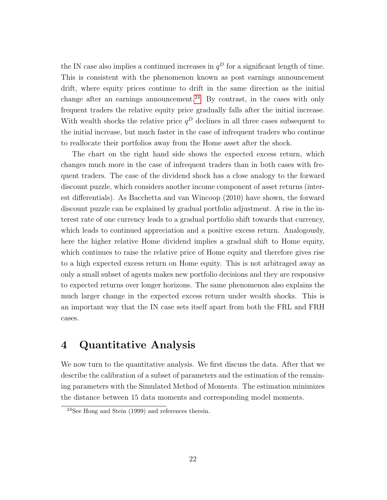the IN case also implies a continued increases in  $q<sup>D</sup>$  for a significant length of time. This is consistent with the phenomenon known as post earnings announcement drift, where equity prices continue to drift in the same direction as the initial change after an earnings announcement.<sup>[24](#page-23-0)</sup> By contrast, in the cases with only frequent traders the relative equity price gradually falls after the initial increase. With wealth shocks the relative price  $q^D$  declines in all three cases subsequent to the initial increase, but much faster in the case of infrequent traders who continue to reallocate their portfolios away from the Home asset after the shock.

The chart on the right hand side shows the expected excess return, which changes much more in the case of infrequent traders than in both cases with frequent traders. The case of the dividend shock has a close analogy to the forward discount puzzle, which considers another income component of asset returns (interest differentials). As Bacchetta and van Wincoop (2010) have shown, the forward discount puzzle can be explained by gradual portfolio adjustment. A rise in the interest rate of one currency leads to a gradual portfolio shift towards that currency, which leads to continued appreciation and a positive excess return. Analogously, here the higher relative Home dividend implies a gradual shift to Home equity, which continues to raise the relative price of Home equity and therefore gives rise to a high expected excess return on Home equity. This is not arbitraged away as only a small subset of agents makes new portfolio decisions and they are responsive to expected returns over longer horizons. The same phenomenon also explains the much larger change in the expected excess return under wealth shocks. This is an important way that the IN case sets itself apart from both the FRL and FRH cases.

# 4 Quantitative Analysis

We now turn to the quantitative analysis. We first discuss the data. After that we describe the calibration of a subset of parameters and the estimation of the remaining parameters with the Simulated Method of Moments. The estimation minimizes the distance between 15 data moments and corresponding model moments.

<span id="page-23-0"></span> $24$ See Hong and Stein (1999) and references therein.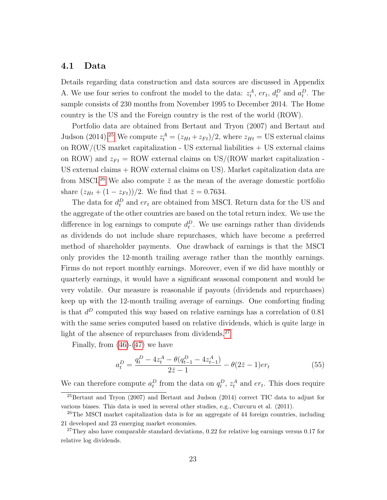### 4.1 Data

Details regarding data construction and data sources are discussed in Appendix A. We use four series to confront the model to the data:  $z_t^A$ ,  $er_t$ ,  $d_t^D$  and  $a_t^D$ . The sample consists of 230 months from November 1995 to December 2014. The Home country is the US and the Foreign country is the rest of the world (ROW).

Portfolio data are obtained from Bertaut and Tryon (2007) and Bertaut and Judson (2014).<sup>[25](#page-24-0)</sup> We compute  $z_t^A = (z_{Ht} + z_{Ft})/2$ , where  $z_{Ht} = \text{US external claims}$ on ROW/(US market capitalization - US external liabilities + US external claims on ROW) and  $z_{Ft} = \text{ROW external claims on US/(ROW market capitalization -})$ US external claims + ROW external claims on US). Market capitalization data are from MSCI.<sup>[26](#page-24-1)</sup> We also compute  $\bar{z}$  as the mean of the average domestic portfolio share  $(z_{Ht} + (1 - z_{Ft}))/2$ . We find that  $\bar{z} = 0.7634$ .

The data for  $d_t^D$  and  $er_t$  are obtained from MSCI. Return data for the US and the aggregate of the other countries are based on the total return index. We use the difference in log earnings to compute  $d_t^D$ . We use earnings rather than dividends as dividends do not include share repurchases, which have become a preferred method of shareholder payments. One drawback of earnings is that the MSCI only provides the 12-month trailing average rather than the monthly earnings. Firms do not report monthly earnings. Moreover, even if we did have monthly or quarterly earnings, it would have a significant seasonal component and would be very volatile. Our measure is reasonable if payouts (dividends and repurchases) keep up with the 12-month trailing average of earnings. One comforting finding is that  $d^D$  computed this way based on relative earnings has a correlation of 0.81 with the same series computed based on relative dividends, which is quite large in light of the absence of repurchases from dividends.<sup>[27](#page-24-2)</sup>

Finally, from  $(46)-(47)$  $(46)-(47)$  $(46)-(47)$  we have

$$
a_t^D = \frac{q_t^D - 4z_t^A - \theta(q_{t-1}^D - 4z_{t-1}^A)}{2\bar{z} - 1} - \theta(2\bar{z} - 1)er_t
$$
\n<sup>(55)</sup>

We can therefore compute  $a_t^D$  from the data on  $q_t^D$ ,  $z_t^A$  and  $er_t$ . This does require

<span id="page-24-0"></span><sup>25</sup>Bertaut and Tryon (2007) and Bertaut and Judson (2014) correct TIC data to adjust for various biases. This data is used in several other studies, e.g., Curcuru et al. (2011).

<span id="page-24-1"></span><sup>26</sup>The MSCI market capitalization data is for an aggregate of 44 foreign countries, including 21 developed and 23 emerging market economies.

<span id="page-24-2"></span> $^{27}$ They also have comparable standard deviations, 0.22 for relative log earnings versus 0.17 for relative log dividends.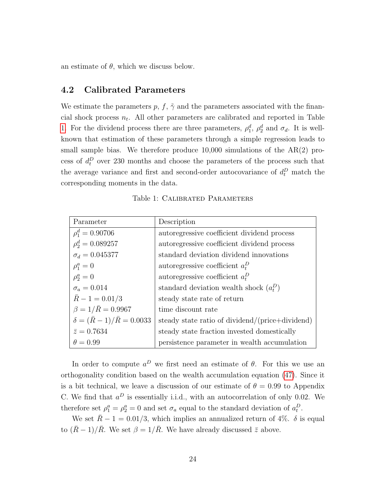an estimate of  $\theta$ , which we discuss below.

# 4.2 Calibrated Parameters

We estimate the parameters p, f,  $\tilde{\gamma}$  and the parameters associated with the financial shock process  $n_t$ . All other parameters are calibrated and reported in Table [1.](#page-25-0) For the dividend process there are three parameters,  $\rho_1^d$ ,  $\rho_2^d$  and  $\sigma_d$ . It is wellknown that estimation of these parameters through a simple regression leads to small sample bias. We therefore produce  $10,000$  simulations of the  $AR(2)$  process of  $d_t^D$  over 230 months and choose the parameters of the process such that the average variance and first and second-order autocovariance of  $d_t^D$  match the corresponding moments in the data.

| Parameter                                 | Description                                     |
|-------------------------------------------|-------------------------------------------------|
| $\rho_1^d = 0.90706$                      | autoregressive coefficient dividend process     |
| $\rho_2^d = 0.089257$                     | autoregressive coefficient dividend process     |
| $\sigma_d = 0.045377$                     | standard deviation dividend innovations         |
| $\rho_1^a = 0$                            | autoregressive coefficient $a_t^D$              |
| $\rho_2^a = 0$                            | autoregressive coefficient $a_t^D$              |
| $\sigma_a = 0.014$                        | standard deviation wealth shock $(a_t^D)$       |
| $R-1 = 0.01/3$                            | steady state rate of return                     |
| $\beta = 1/\bar{R} = 0.9967$              | time discount rate                              |
| $\delta = (\bar{R} - 1)/\bar{R} = 0.0033$ | steady state ratio of dividend/(price+dividend) |
| $\bar{z} = 0.7634$                        | steady state fraction invested domestically     |
| $\theta = 0.99$                           | persistence parameter in wealth accumulation    |

<span id="page-25-0"></span>Table 1: CALIBRATED PARAMETERS

In order to compute  $a^D$  we first need an estimate of  $\theta$ . For this we use an orthogonality condition based on the wealth accumulation equation [\(47\)](#page-19-0). Since it is a bit technical, we leave a discussion of our estimate of  $\theta = 0.99$  to Appendix C. We find that  $a^D$  is essentially i.i.d., with an autocorrelation of only 0.02. We therefore set  $\rho_1^a = \rho_2^a = 0$  and set  $\sigma_a$  equal to the standard deviation of  $a_t^D$ .

We set  $\bar{R} - 1 = 0.01/3$ , which implies an annualized return of 4%.  $\delta$  is equal to  $(\bar{R}-1)/\bar{R}$ . We set  $\beta = 1/\bar{R}$ . We have already discussed  $\bar{z}$  above.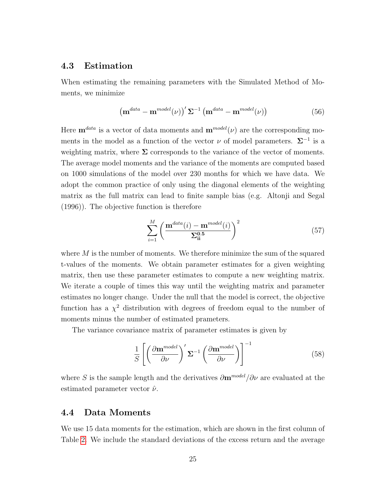### 4.3 Estimation

When estimating the remaining parameters with the Simulated Method of Moments, we minimize

$$
\left(\mathbf{m}^{data} - \mathbf{m}^{model}(\nu)\right)^{\prime} \Sigma^{-1} \left(\mathbf{m}^{data} - \mathbf{m}^{model}(\nu)\right) \tag{56}
$$

Here  $\mathbf{m}^{data}$  is a vector of data moments and  $\mathbf{m}^{model}(\nu)$  are the corresponding moments in the model as a function of the vector  $\nu$  of model parameters.  $\Sigma^{-1}$  is a weighting matrix, where  $\Sigma$  corresponds to the variance of the vector of moments. The average model moments and the variance of the moments are computed based on 1000 simulations of the model over 230 months for which we have data. We adopt the common practice of only using the diagonal elements of the weighting matrix as the full matrix can lead to finite sample bias (e.g. Altonji and Segal (1996)). The objective function is therefore

$$
\sum_{i=1}^{M} \left( \frac{\mathbf{m}^{data}(i) - \mathbf{m}^{model}(i)}{\Sigma_{ii}^{0.5}} \right)^2 \tag{57}
$$

where  $M$  is the number of moments. We therefore minimize the sum of the squared t-values of the moments. We obtain parameter estimates for a given weighting matrix, then use these parameter estimates to compute a new weighting matrix. We iterate a couple of times this way until the weighting matrix and parameter estimates no longer change. Under the null that the model is correct, the objective function has a  $\chi^2$  distribution with degrees of freedom equal to the number of moments minus the number of estimated prameters.

The variance covariance matrix of parameter estimates is given by

$$
\frac{1}{S} \left[ \left( \frac{\partial \mathbf{m}^{model}}{\partial \nu} \right)^{\prime} \Sigma^{-1} \left( \frac{\partial \mathbf{m}^{model}}{\partial \nu} \right) \right]^{-1} \tag{58}
$$

where S is the sample length and the derivatives  $\partial \mathbf{m}^{model}/\partial \nu$  are evaluated at the estimated parameter vector  $\hat{\nu}$ .

#### 4.4 Data Moments

We use 15 data moments for the estimation, which are shown in the first column of Table [2.](#page-32-0) We include the standard deviations of the excess return and the average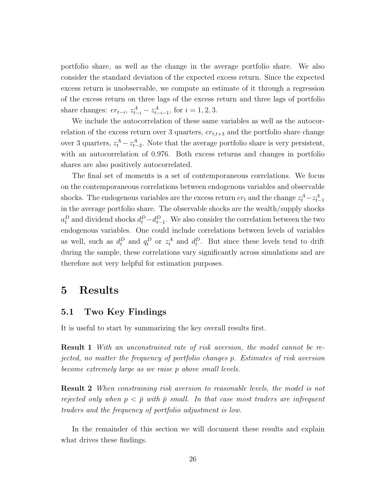portfolio share, as well as the change in the average portfolio share. We also consider the standard deviation of the expected excess return. Since the expected excess return is unobservable, we compute an estimate of it through a regression of the excess return on three lags of the excess return and three lags of portfolio share changes:  $er_{t-i}$ ,  $z_{t-i}^A - z_{t-i-1}^A$ , for  $i = 1, 2, 3$ .

We include the autocorrelation of these same variables as well as the autocorrelation of the excess return over 3 quarters,  $er_{t,t+3}$  and the portfolio share change over 3 quarters,  $z_t^A - z_{t-3}^A$ . Note that the average portfolio share is very persistent, with an autocorrelation of 0.976. Both excess returns and changes in portfolio shares are also positively autocorrelated.

The final set of moments is a set of contemporaneous correlations. We focus on the contemporaneous correlations between endogenous variables and observable shocks. The endogenous variables are the excess return  $er_t$  and the change  $z_t^A - z_{t-1}^A$ in the average portfolio share. The observable shocks are the wealth/supply shocks  $a_t^D$  and dividend shocks  $d_t^D - d_{t-1}^D$ . We also consider the correlation between the two endogenous variables. One could include correlations between levels of variables as well, such as  $d_t^D$  and  $q_t^D$  or  $z_t^A$  and  $d_t^D$ . But since these levels tend to drift during the sample, these correlations vary significantly across simulations and are therefore not very helpful for estimation purposes.

# 5 Results

### 5.1 Two Key Findings

It is useful to start by summarizing the key overall results first.

**Result 1** With an unconstrained rate of risk aversion, the model cannot be rejected, no matter the frequency of portfolio changes p. Estimates of risk aversion become extremely large as we raise p above small levels.

Result 2 When constraining risk aversion to reasonable levels, the model is not rejected only when  $p < \bar{p}$  with  $\bar{p}$  small. In that case most traders are infrequent traders and the frequency of portfolio adjustment is low.

In the remainder of this section we will document these results and explain what drives these findings.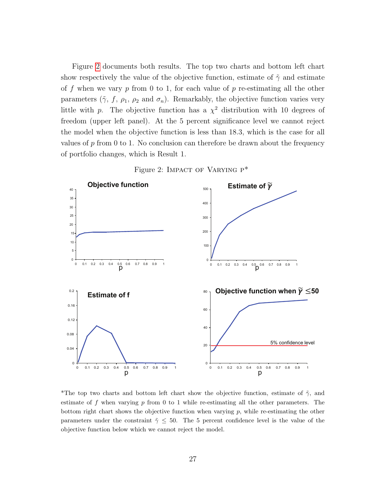Figure [2](#page-28-0) documents both results. The top two charts and bottom left chart show respectively the value of the objective function, estimate of  $\tilde{\gamma}$  and estimate of f when we vary  $p$  from 0 to 1, for each value of  $p$  re-estimating all the other parameters ( $\tilde{\gamma}$ ,  $f$ ,  $\rho_1$ ,  $\rho_2$  and  $\sigma_n$ ). Remarkably, the objective function varies very little with p. The objective function has a  $\chi^2$  distribution with 10 degrees of freedom (upper left panel). At the 5 percent significance level we cannot reject the model when the objective function is less than 18.3, which is the case for all values of  $p$  from 0 to 1. No conclusion can therefore be drawn about the frequency of portfolio changes, which is Result 1.



<span id="page-28-0"></span>Figure 2: IMPACT OF VARYING  $P^*$ 

\*The top two charts and bottom left chart show the objective function, estimate of  $\tilde{\gamma}$ , and estimate of  $f$  when varying  $p$  from 0 to 1 while re-estimating all the other parameters. The bottom right chart shows the objective function when varying  $p$ , while re-estimating the other parameters under the constraint  $\tilde{\gamma} \leq 50$ . The 5 percent confidence level is the value of the objective function below which we cannot reject the model.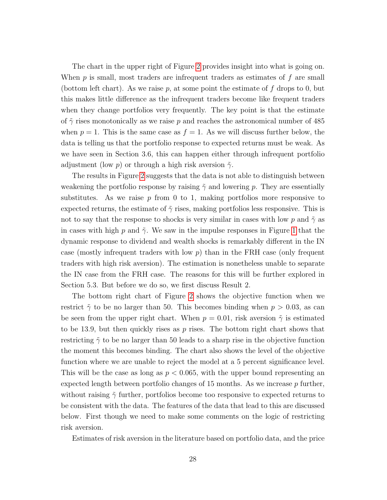The chart in the upper right of Figure [2](#page-28-0) provides insight into what is going on. When  $p$  is small, most traders are infrequent traders as estimates of  $f$  are small (bottom left chart). As we raise p, at some point the estimate of f drops to 0, but this makes little difference as the infrequent traders become like frequent traders when they change portfolios very frequently. The key point is that the estimate of  $\tilde{\gamma}$  rises monotonically as we raise p and reaches the astronomical number of 485 when  $p = 1$ . This is the same case as  $f = 1$ . As we will discuss further below, the data is telling us that the portfolio response to expected returns must be weak. As we have seen in Section 3.6, this can happen either through infrequent portfolio adjustment (low p) or through a high risk aversion  $\tilde{\gamma}$ .

The results in Figure [2](#page-28-0) suggests that the data is not able to distinguish between weakening the portfolio response by raising  $\tilde{\gamma}$  and lowering p. They are essentially substitutes. As we raise  $p$  from 0 to 1, making portfolios more responsive to expected returns, the estimate of  $\tilde{\gamma}$  rises, making portfolios less responsive. This is not to say that the response to shocks is very similar in cases with low p and  $\tilde{\gamma}$  as in cases with high p and  $\tilde{\gamma}$ . We saw in the impulse responses in Figure [1](#page-21-0) that the dynamic response to dividend and wealth shocks is remarkably different in the IN case (mostly infrequent traders with low  $p$ ) than in the FRH case (only frequent traders with high risk aversion). The estimation is nonetheless unable to separate the IN case from the FRH case. The reasons for this will be further explored in Section 5.3. But before we do so, we first discuss Result 2.

The bottom right chart of Figure [2](#page-28-0) shows the objective function when we restrict  $\tilde{\gamma}$  to be no larger than 50. This becomes binding when  $p > 0.03$ , as can be seen from the upper right chart. When  $p = 0.01$ , risk aversion  $\tilde{\gamma}$  is estimated to be 13.9, but then quickly rises as  $p$  rises. The bottom right chart shows that restricting  $\tilde{\gamma}$  to be no larger than 50 leads to a sharp rise in the objective function the moment this becomes binding. The chart also shows the level of the objective function where we are unable to reject the model at a 5 percent significance level. This will be the case as long as  $p < 0.065$ , with the upper bound representing an expected length between portfolio changes of 15 months. As we increase  $p$  further, without raising  $\tilde{\gamma}$  further, portfolios become too responsive to expected returns to be consistent with the data. The features of the data that lead to this are discussed below. First though we need to make some comments on the logic of restricting risk aversion.

Estimates of risk aversion in the literature based on portfolio data, and the price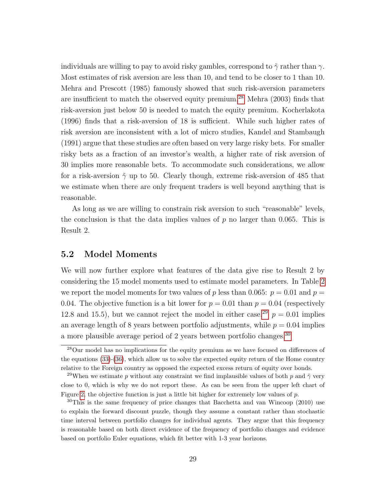individuals are willing to pay to avoid risky gambles, correspond to  $\tilde{\gamma}$  rather than  $\gamma$ . Most estimates of risk aversion are less than 10, and tend to be closer to 1 than 10. Mehra and Prescott (1985) famously showed that such risk-aversion parameters are insufficient to match the observed equity premium.[28](#page-30-0) Mehra (2003) finds that risk-aversion just below 50 is needed to match the equity premium. Kocherlakota (1996) finds that a risk-aversion of 18 is sufficient. While such higher rates of risk aversion are inconsistent with a lot of micro studies, Kandel and Stambaugh (1991) argue that these studies are often based on very large risky bets. For smaller risky bets as a fraction of an investor's wealth, a higher rate of risk aversion of 30 implies more reasonable bets. To accommodate such considerations, we allow for a risk-aversion  $\tilde{\gamma}$  up to 50. Clearly though, extreme risk-aversion of 485 that we estimate when there are only frequent traders is well beyond anything that is reasonable.

As long as we are willing to constrain risk aversion to such "reasonable" levels, the conclusion is that the data implies values of  $p$  no larger than 0.065. This is Result 2.

# 5.2 Model Moments

We will now further explore what features of the data give rise to Result 2 by considering the 15 model moments used to estimate model parameters. In Table [2](#page-32-0) we report the model moments for two values of p less than 0.065:  $p = 0.01$  and  $p =$ 0.04. The objective function is a bit lower for  $p = 0.01$  than  $p = 0.04$  (respectively 12.8 and 15.5), but we cannot reject the model in either case.<sup>[29](#page-30-1)</sup>  $p = 0.01$  implies an average length of 8 years between portfolio adjustments, while  $p = 0.04$  implies a more plausible average period of 2 years between portfolio changes.<sup>[30](#page-30-2)</sup>

<span id="page-30-0"></span><sup>28</sup>Our model has no implications for the equity premium as we have focused on differences of the equations [\(33\)](#page-17-2)-[\(36\)](#page-17-2), which allow us to solve the expected equity return of the Home country relative to the Foreign country as opposed the expected excess return of equity over bonds.

<span id="page-30-1"></span><sup>&</sup>lt;sup>29</sup>When we estimate p without any constraint we find implausible values of both p and  $\tilde{\gamma}$  very close to 0, which is why we do not report these. As can be seen from the upper left chart of Figure [2,](#page-28-0) the objective function is just a little bit higher for extremely low values of  $p$ .

<span id="page-30-2"></span> $30$ This is the same frequency of price changes that Bacchetta and van Wincoop (2010) use to explain the forward discount puzzle, though they assume a constant rather than stochastic time interval between portfolio changes for individual agents. They argue that this frequency is reasonable based on both direct evidence of the frequency of portfolio changes and evidence based on portfolio Euler equations, which fit better with 1-3 year horizons.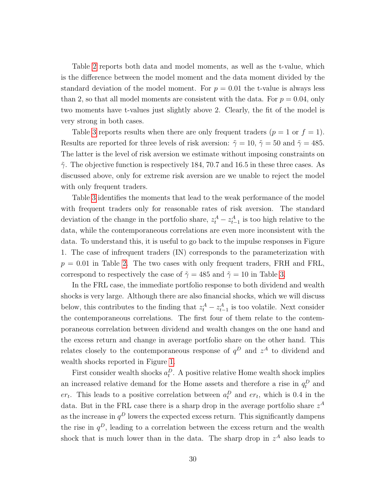Table [2](#page-32-0) reports both data and model moments, as well as the t-value, which is the difference between the model moment and the data moment divided by the standard deviation of the model moment. For  $p = 0.01$  the t-value is always less than 2, so that all model moments are consistent with the data. For  $p = 0.04$ , only two moments have t-values just slightly above 2. Clearly, the fit of the model is very strong in both cases.

Table [3](#page-33-0) reports results when there are only frequent traders  $(p = 1 \text{ or } f = 1)$ . Results are reported for three levels of risk aversion:  $\tilde{\gamma} = 10$ ,  $\tilde{\gamma} = 50$  and  $\tilde{\gamma} = 485$ . The latter is the level of risk aversion we estimate without imposing constraints on  $\tilde{\gamma}$ . The objective function is respectively 184, 70.7 and 16.5 in these three cases. As discussed above, only for extreme risk aversion are we unable to reject the model with only frequent traders.

Table [3](#page-33-0) identifies the moments that lead to the weak performance of the model with frequent traders only for reasonable rates of risk aversion. The standard deviation of the change in the portfolio share,  $z_t^A - z_{t-1}^A$  is too high relative to the data, while the contemporaneous correlations are even more inconsistent with the data. To understand this, it is useful to go back to the impulse responses in Figure 1. The case of infrequent traders (IN) corresponds to the parameterization with  $p = 0.01$  in Table [2.](#page-32-0) The two cases with only frequent traders, FRH and FRL, correspond to respectively the case of  $\tilde{\gamma} = 485$  and  $\tilde{\gamma} = 10$  in Table [3.](#page-33-0)

In the FRL case, the immediate portfolio response to both dividend and wealth shocks is very large. Although there are also financial shocks, which we will discuss below, this contributes to the finding that  $z_t^A - z_{t-1}^A$  is too volatile. Next consider the contemporaneous correlations. The first four of them relate to the contemporaneous correlation between dividend and wealth changes on the one hand and the excess return and change in average portfolio share on the other hand. This relates closely to the contemporaneous response of  $q^D$  and  $z^A$  to dividend and wealth shocks reported in Figure [1.](#page-21-0)

First consider wealth shocks  $a_t^D$ . A positive relative Home wealth shock implies an increased relative demand for the Home assets and therefore a rise in  $q_t^D$  and  $er_t$ . This leads to a positive correlation between  $a_t^D$  and  $er_t$ , which is 0.4 in the data. But in the FRL case there is a sharp drop in the average portfolio share  $z^A$ as the increase in  $q^D$  lowers the expected excess return. This significantly dampens the rise in  $q^D$ , leading to a correlation between the excess return and the wealth shock that is much lower than in the data. The sharp drop in  $z^A$  also leads to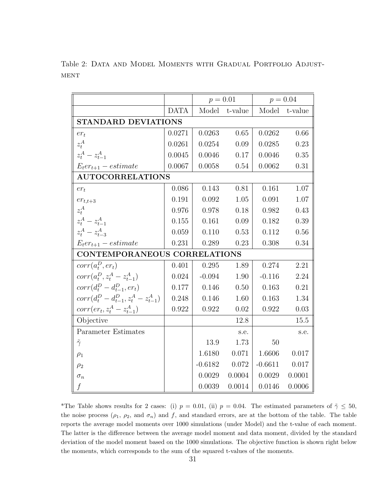|                                              |             | $p = 0.01$      |         | $p = 0.04$ |         |  |  |
|----------------------------------------------|-------------|-----------------|---------|------------|---------|--|--|
|                                              | <b>DATA</b> | Model           | t-value | Model      | t-value |  |  |
| <b>STANDARD DEVIATIONS</b>                   |             |                 |         |            |         |  |  |
| $er_t$                                       | 0.0271      | 0.0263          | 0.65    | 0.0262     | 0.66    |  |  |
| $z_t^A$                                      | 0.0261      | 0.0254          | 0.09    | 0.0285     | 0.23    |  |  |
| $z_t^A - z_{t-1}^A$                          | 0.0045      | 0.0046          | 0.17    | 0.0046     | 0.35    |  |  |
| $E_t er_{t+1} - estimate$                    | 0.0067      | 0.0058          | 0.54    | 0.0062     | 0.31    |  |  |
| <b>AUTOCORRELATIONS</b>                      |             |                 |         |            |         |  |  |
| $er_t$                                       | 0.086       | 0.143           | 0.81    | 0.161      | 1.07    |  |  |
| $er_{t,t+3}$                                 | $0.191\,$   | 0.092           | 1.05    | 0.091      | 1.07    |  |  |
| $z_t^A$                                      | 0.976       | 0.978           | 0.18    | 0.982      | 0.43    |  |  |
| $z_t^A - z_{t-1}^A$                          | 0.155       | 0.161           | 0.09    | 0.182      | 0.39    |  |  |
| $z_t^A - z_{t-3}^A$                          | 0.059       | 0.110           | 0.53    | 0.112      | 0.56    |  |  |
| $E_t er_{t+1} - estimate$                    | 0.231       | 0.289           | 0.23    | 0.308      | 0.34    |  |  |
| <b>CONTEMPORANEOUS CORRELATIONS</b>          |             |                 |         |            |         |  |  |
| $corr(a_t^D, er_t)$                          | 0.401       | 0.295           | 1.89    | 0.274      | 2.21    |  |  |
| $corr(a_t^D, z_t^A - z_{t-1}^A)$             | 0.024       | $-0.094$        | 1.90    | $-0.116$   | 2.24    |  |  |
| $corr(d_t^D - d_{t-1}^D, er_t)$              | 0.177       | 0.146           | 0.50    | 0.163      | 0.21    |  |  |
| $corr(d_t^D - d_{t-1}^D, z_t^A - z_{t-1}^A)$ | 0.248       | 0.146           | 1.60    | 0.163      | 1.34    |  |  |
| $corr(er_t, z_t^A - z_{t-1}^A)$              | 0.922       | 0.922           | 0.02    | 0.922      | 0.03    |  |  |
| Objective                                    |             |                 | 12.8    |            | 15.5    |  |  |
| Parameter Estimates                          |             |                 | s.e.    |            | s.e.    |  |  |
| $\tilde{\gamma}$                             |             | 13.9            | 1.73    | 50         |         |  |  |
| $\rho_1$                                     |             | 1.6180          | 0.071   | 1.6606     | 0.017   |  |  |
| $\rho_2$                                     |             | $-0.6182$ 0.072 |         | $-0.6611$  | 0.017   |  |  |
| $\sigma_n$                                   |             | 0.0029          | 0.0004  | 0.0029     | 0.0001  |  |  |
| f                                            |             | 0.0039          | 0.0014  | 0.0146     | 0.0006  |  |  |

<span id="page-32-0"></span>Table 2: DATA AND MODEL MOMENTS WITH GRADUAL PORTFOLIO ADJUST- $\operatorname{MENT}$ 

\*The Table shows results for 2 cases: (i)  $p = 0.01$ , (ii)  $p = 0.04$ . The estimated parameters of  $\tilde{\gamma} \le 50$ , the noise process  $(\rho_1, \rho_2, \text{ and } \sigma_n)$  and f, and standard errors, are at the bottom of the table. The table reports the average model moments over 1000 simulations (under Model) and the t-value of each moment. The latter is the difference between the average model moment and data moment, divided by the standard deviation of the model moment based on the 1000 simulations. The objective function is shown right below the moments, which corresponds to the sum of the squared t-values of the moments.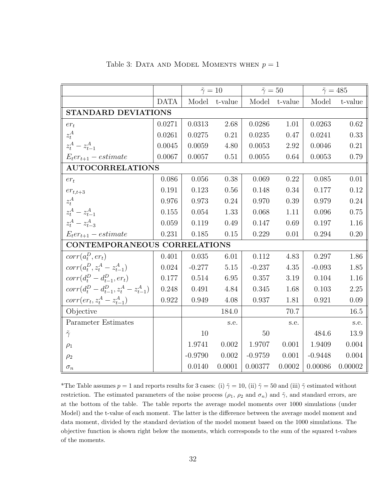|                                              |             | $\tilde{\gamma}=10$ |         | $\tilde{\gamma} = 50$ |         | $\tilde{\gamma} = 485$ |         |
|----------------------------------------------|-------------|---------------------|---------|-----------------------|---------|------------------------|---------|
|                                              | <b>DATA</b> | Model               | t-value | Model                 | t-value | Model                  | t-value |
| <b>STANDARD DEVIATIONS</b>                   |             |                     |         |                       |         |                        |         |
| $er_t$                                       | 0.0271      | 0.0313              | 2.68    | 0.0286                | 1.01    | 0.0263                 | 0.62    |
| $z_t^A$                                      | 0.0261      | 0.0275              | 0.21    | 0.0235                | 0.47    | 0.0241                 | 0.33    |
| $z_t^A - z_{t-1}^A$                          | 0.0045      | 0.0059              | 4.80    | 0.0053                | 2.92    | 0.0046                 | 0.21    |
| $E_t er_{t+1} - estimate$                    | 0.0067      | 0.0057              | 0.51    | 0.0055                | 0.64    | 0.0053                 | 0.79    |
| <b>AUTOCORRELATIONS</b>                      |             |                     |         |                       |         |                        |         |
| $er_t$                                       | 0.086       | 0.056               | 0.38    | 0.069                 | 0.22    | 0.085                  | 0.01    |
| $er_{t,t+3}$                                 | 0.191       | 0.123               | 0.56    | 0.148                 | 0.34    | 0.177                  | 0.12    |
| $z^A_t$                                      | 0.976       | 0.973               | 0.24    | 0.970                 | 0.39    | 0.979                  | 0.24    |
| $z_t^A - z_{t-1}^A$                          | 0.155       | 0.054               | 1.33    | 0.068                 | 1.11    | 0.096                  | 0.75    |
| $z_t^A - z_{t-3}^A$                          | 0.059       | 0.119               | 0.49    | 0.147                 | 0.69    | 0.197                  | 1.16    |
| $E_t er_{t+1} - estimate$                    | 0.231       | 0.185               | 0.15    | 0.229                 | 0.01    | 0.294                  | 0.20    |
| CONTEMPORANEOUS CORRELATIONS                 |             |                     |         |                       |         |                        |         |
| $corr(a_t^D, er_t)$                          | 0.401       | 0.035               | 6.01    | 0.112                 | 4.83    | 0.297                  | 1.86    |
| $corr(a_t^D, z_t^A - z_{t-1}^A)$             | 0.024       | $-0.277$            | 5.15    | $-0.237$              | 4.35    | $-0.093$               | 1.85    |
| $corr(d_t^D - d_{t-1}^D, er_t)$              | 0.177       | 0.514               | 6.95    | 0.357                 | 3.19    | 0.104                  | 1.16    |
| $corr(d_t^D - d_{t-1}^D, z_t^A - z_{t-1}^A)$ | 0.248       | 0.491               | 4.84    | 0.345                 | 1.68    | 0.103                  | 2.25    |
| $corr(er_t, z_t^A - z_{t-1}^A)$              | 0.922       | 0.949               | 4.08    | 0.937                 | 1.81    | 0.921                  | 0.09    |
| Objective                                    |             |                     | 184.0   |                       | 70.7    |                        | 16.5    |
| Parameter Estimates                          |             |                     | s.e.    |                       | s.e.    |                        | s.e.    |
| $\tilde{\gamma}$                             |             | 10                  |         | 50                    |         | 484.6                  | 13.9    |
| $\rho_1$                                     |             | $1.9741\,$          | 0.002   | 1.9707                | 0.001   | 1.9409                 | 0.004   |
| $\rho_2$                                     |             | $-0.9790$           | 0.002   | $-0.9759$             | 0.001   | $-0.9448$              | 0.004   |
| $\sigma_n$                                   |             | 0.0140              | 0.0001  | 0.00377               | 0.0002  | 0.00086                | 0.00002 |

<span id="page-33-0"></span>Table 3: DATA AND MODEL MOMENTS WHEN  $p = 1$ 

\*The Table assumes  $p = 1$  and reports results for 3 cases: (i)  $\tilde{\gamma} = 10$ , (ii)  $\tilde{\gamma} = 50$  and (iii)  $\tilde{\gamma}$  estimated without restriction. The estimated parameters of the noise process  $(\rho_1, \rho_2 \text{ and } \sigma_n)$  and  $\tilde{\gamma}$ , and standard errors, are at the bottom of the table. The table reports the average model moments over 1000 simulations (under Model) and the t-value of each moment. The latter is the difference between the average model moment and data moment, divided by the standard deviation of the model moment based on the 1000 simulations. The objective function is shown right below the moments, which corresponds to the sum of the squared t-values of the moments.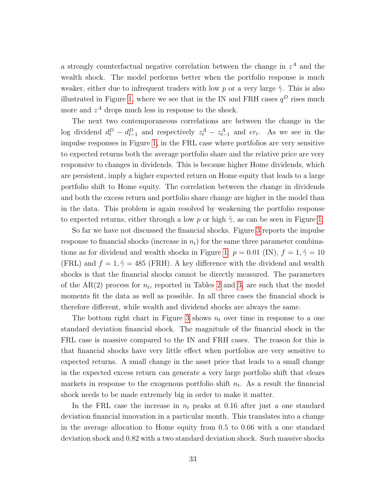a strongly counterfactual negative correlation between the change in  $z<sup>A</sup>$  and the wealth shock. The model performs better when the portfolio response is much weaker, either due to infrequent traders with low p or a very large  $\tilde{\gamma}$ . This is also illustrated in Figure [1,](#page-21-0) where we see that in the IN and FRH cases  $q^D$  rises much more and  $z^A$  drops much less in response to the shock.

The next two contemporaneous correlations are between the change in the log dividend  $d_t^D - d_{t-1}^D$  and respectively  $z_t^A - z_{t-1}^A$  and  $er_t$ . As we see in the impulse responses in Figure [1,](#page-21-0) in the FRL case where portfolios are very sensitive to expected returns both the average portfolio share and the relative price are very responsive to changes in dividends. This is because higher Home dividends, which are persistent, imply a higher expected return on Home equity that leads to a large portfolio shift to Home equity. The correlation between the change in dividends and both the excess return and portfolio share change are higher in the model than in the data. This problem is again resolved by weakening the portfolio response to expected returns, either through a low p or high  $\tilde{\gamma}$ , as can be seen in Figure [1.](#page-21-0)

So far we have not discussed the financial shocks. Figure [3](#page-35-0) reports the impulse response to financial shocks (increase in  $n<sub>t</sub>$ ) for the same three parameter combina-tions as for dividend and wealth shocks in Figure [1:](#page-21-0)  $p = 0.01$  (IN),  $f = 1, \tilde{\gamma} = 10$ (FRL) and  $f = 1, \tilde{\gamma} = 485$  (FRH). A key difference with the dividend and wealth shocks is that the financial shocks cannot be directly measured. The parameters of the  $AR(2)$  process for  $n_t$ , reported in Tables [2](#page-32-0) and [3,](#page-33-0) are such that the model moments fit the data as well as possible. In all three cases the financial shock is therefore different, while wealth and dividend shocks are always the same.

The bottom right chart in Figure [3](#page-35-0) shows  $n_t$  over time in response to a one standard deviation financial shock. The magnitude of the financial shock in the FRL case is massive compared to the IN and FRH cases. The reason for this is that financial shocks have very little effect when portfolios are very sensitive to expected returns. A small change in the asset price that leads to a small change in the expected excess return can generate a very large portfolio shift that clears markets in response to the exogenous portfolio shift  $n_t$ . As a result the financial shock needs to be made extremely big in order to make it matter.

In the FRL case the increase in  $n_t$  peaks at 0.16 after just a one standard deviation financial innovation in a particular month. This translates into a change in the average allocation to Home equity from 0.5 to 0.66 with a one standard deviation shock and 0.82 with a two standard deviation shock. Such massive shocks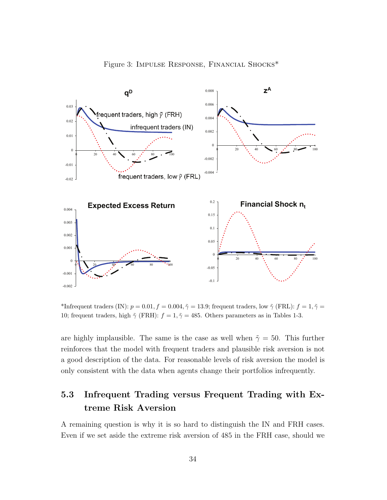<span id="page-35-0"></span>



\*Infrequent traders (IN):  $p = 0.01, f = 0.004, \tilde{\gamma} = 13.9$ ; frequent traders, low  $\tilde{\gamma}$  (FRL):  $f = 1, \tilde{\gamma} =$ 10; frequent traders, high  $\tilde{\gamma}$  (FRH):  $f = 1, \tilde{\gamma} = 485$ . Others parameters as in Tables 1-3.

are highly implausible. The same is the case as well when  $\tilde{\gamma} = 50$ . This further reinforces that the model with frequent traders and plausible risk aversion is not a good description of the data. For reasonable levels of risk aversion the model is only consistent with the data when agents change their portfolios infrequently.

# 5.3 Infrequent Trading versus Frequent Trading with Extreme Risk Aversion

A remaining question is why it is so hard to distinguish the IN and FRH cases. Even if we set aside the extreme risk aversion of 485 in the FRH case, should we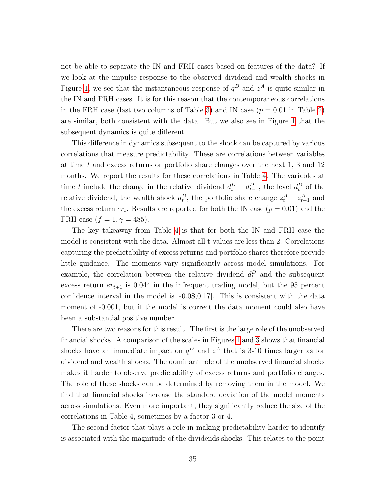not be able to separate the IN and FRH cases based on features of the data? If we look at the impulse response to the observed dividend and wealth shocks in Figure [1,](#page-21-0) we see that the instantaneous response of  $q^D$  and  $z^A$  is quite similar in the IN and FRH cases. It is for this reason that the contemporaneous correlations in the FRH case (last two columns of Table [3\)](#page-33-0) and IN case ( $p = 0.01$  in Table [2\)](#page-32-0) are similar, both consistent with the data. But we also see in Figure [1](#page-21-0) that the subsequent dynamics is quite different.

This difference in dynamics subsequent to the shock can be captured by various correlations that measure predictability. These are correlations between variables at time t and excess returns or portfolio share changes over the next 1, 3 and 12 months. We report the results for these correlations in Table [4.](#page-37-0) The variables at time t include the change in the relative dividend  $d_t^D - d_{t-1}^D$ , the level  $d_t^D$  of the relative dividend, the wealth shock  $a_t^D$ , the portfolio share change  $z_t^A - z_{t-1}^A$  and the excess return  $er_t$ . Results are reported for both the IN case  $(p = 0.01)$  and the FRH case  $(f = 1, \tilde{\gamma} = 485)$ .

The key takeaway from Table [4](#page-37-0) is that for both the IN and FRH case the model is consistent with the data. Almost all t-values are less than 2. Correlations capturing the predictability of excess returns and portfolio shares therefore provide little guidance. The moments vary significantly across model simulations. For example, the correlation between the relative dividend  $d_t^D$  and the subsequent excess return  $er_{t+1}$  is 0.044 in the infrequent trading model, but the 95 percent confidence interval in the model is [-0.08,0.17]. This is consistent with the data moment of -0.001, but if the model is correct the data moment could also have been a substantial positive number.

There are two reasons for this result. The first is the large role of the unobserved financial shocks. A comparison of the scales in Figures [1](#page-21-0) and [3](#page-35-0) shows that financial shocks have an immediate impact on  $q<sup>D</sup>$  and  $z<sup>A</sup>$  that is 3-10 times larger as for dividend and wealth shocks. The dominant role of the unobserved financial shocks makes it harder to observe predictability of excess returns and portfolio changes. The role of these shocks can be determined by removing them in the model. We find that financial shocks increase the standard deviation of the model moments across simulations. Even more important, they significantly reduce the size of the correlations in Table [4,](#page-37-0) sometimes by a factor 3 or 4.

The second factor that plays a role in making predictability harder to identify is associated with the magnitude of the dividends shocks. This relates to the point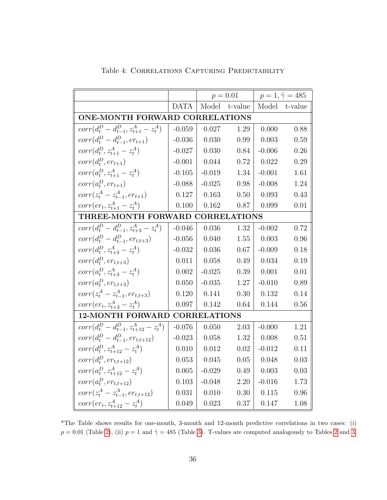|                                                |             | $p = 0.01$ |         | $p = 1, \tilde{\gamma} = 485$ |            |  |  |
|------------------------------------------------|-------------|------------|---------|-------------------------------|------------|--|--|
|                                                | <b>DATA</b> | Model      | t-value | Model                         | $t$ -value |  |  |
| ONE-MONTH FORWARD CORRELATIONS                 |             |            |         |                               |            |  |  |
| $corr(d_t^D - d_{t-1}^D, z_{t+1}^A - z_t^A)$   | $-0.059$    | 0.027      | 1.29    | 0.000                         | 0.88       |  |  |
| $corr(d_t^D - d_{t-1}^D, er_{t+1})$            | $-0.036$    | 0.030      | 0.99    | 0.003                         | 0.59       |  |  |
| $corr(d_t^D, z_{t+1}^A - z_t^A)$               | $-0.027$    | 0.030      | 0.84    | $-0.006$                      | 0.26       |  |  |
| $corr(d_t^D, er_{t+1})$                        | $-0.001$    | 0.044      | 0.72    | 0.022                         | 0.29       |  |  |
| $corr(a_t^D, z_{t+1}^A - z_t^A)$               | $-0.105$    | $-0.019$   | 1.34    | $-0.001$                      | 1.61       |  |  |
| $corr(a_t^D, er_{t+1})$                        | $-0.088$    | $-0.025$   | 0.98    | $-0.008$                      | 1.24       |  |  |
| $corr(z_t^A - z_{t-1}^A, er_{t+1})$            | 0.127       | 0.163      | 0.50    | 0.093                         | 0.43       |  |  |
| $corr(er_t, z_{t+1}^A - z_t^A)$                | 0.100       | 0.162      | 0.87    | 0.099                         | 0.01       |  |  |
| THREE-MONTH FORWARD CORRELATIONS               |             |            |         |                               |            |  |  |
| $corr(d_t^D - d_{t-1}^D, z_{t+3}^A - z_t^A)$   | $-0.046$    | 0.036      | 1.32    | $-0.002$                      | 0.72       |  |  |
| $corr(d^{D}_{t} - d^{D}_{t-1}, er_{t,t+3})$    | $-0.056$    | 0.040      | 1.55    | 0.003                         | 0.96       |  |  |
| $corr(d_t^D, z_{t+3}^A - z_t^A)$               | $-0.032$    | 0.036      | 0.67    | $-0.009$                      | 0.18       |  |  |
| $corr(d_t^D, er_{t,t+3})$                      | 0.011       | 0.058      | 0.49    | 0.034                         | 0.19       |  |  |
| $corr(a_t^D, z_{t+3}^A - z_t^A)$               | 0.002       | $-0.025$   | 0.39    | 0.001                         | 0.01       |  |  |
| $corr(a_t^D, er_{t,t+3})$                      | 0.050       | $-0.035$   | 1.27    | $-0.010$                      | 0.89       |  |  |
| $corr(z_t^A - z_{t-1}^A, er_{t,t+3})$          | 0.120       | 0.141      | 0.30    | 0.132                         | 0.14       |  |  |
| $corr(er_t, z_{t+3}^A - z_t^A)$                | 0.097       | 0.142      | 0.64    | 0.144                         | 0.56       |  |  |
| <b>12-MONTH FORWARD</b><br><b>CORRELATIONS</b> |             |            |         |                               |            |  |  |
| $corr(d_t^D - d_{t-1}^D, z_{t+12}^A - z_t^A)$  | $-0.076$    | 0.050      | 2.03    | $-0.000$                      | 1.21       |  |  |
| $corr(d_t^D - d_{t-1}^D, er_{t,t+12})$         | $-0.023$    | 0.058      | 1.32    | 0.008                         | 0.51       |  |  |
| $corr(d_t^D, z_{t+12}^A - z_t^A)$              | 0.010       | 0.012      | 0.02    | $-0.012$                      | 0.11       |  |  |
| $corr(d_t^D, er_{t,t+12})$                     | 0.053       | 0.045      | 0.05    | 0.048                         | 0.03       |  |  |
| $corr(a_t^D, z_{t+12}^A - z_t^A)$              | 0.005       | $-0.029$   | 0.49    | 0.003                         | 0.03       |  |  |
| $corr(a_t^D, er_{t,t+12})$                     | 0.103       | $-0.048$   | 2.20    | $-0.016$                      | 1.73       |  |  |
| $corr(z_t^A - z_{t-1}^A, er_{t,t+12})$         | 0.031       | 0.010      | 0.30    | 0.115                         | 0.96       |  |  |
| $corr(er_t, z_{t+12}^A - z_t^A)$               | 0.049       | 0.023      | 0.37    | 0.147                         | 1.08       |  |  |

<span id="page-37-0"></span>Table 4: Correlations Capturing Predictability

\*The Table shows results for one-month, 3-month and 12-month predictive correlations in two cases: (i)  $p = 0.01$  (Table [2\)](#page-32-0), (ii)  $p = 1$  and  $\tilde{\gamma} = 485$  (Table [3\)](#page-33-0). T-values are computed analogously to Tables [2](#page-32-0) and [3.](#page-33-0)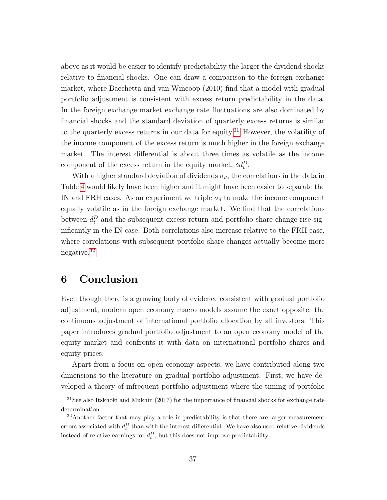above as it would be easier to identify predictability the larger the dividend shocks relative to financial shocks. One can draw a comparison to the foreign exchange market, where Bacchetta and van Wincoop (2010) find that a model with gradual portfolio adjustment is consistent with excess return predictability in the data. In the foreign exchange market exchange rate fluctuations are also dominated by financial shocks and the standard deviation of quarterly excess returns is similar to the quarterly excess returns in our data for equity.<sup>[31](#page-38-0)</sup> However, the volatility of the income component of the excess return is much higher in the foreign exchange market. The interest differential is about three times as volatile as the income component of the excess return in the equity market,  $\delta d_t^D$ .

With a higher standard deviation of dividends  $\sigma_d$ , the correlations in the data in Table [4](#page-37-0) would likely have been higher and it might have been easier to separate the IN and FRH cases. As an experiment we triple  $\sigma_d$  to make the income component equally volatile as in the foreign exchange market. We find that the correlations between  $d_t^D$  and the subsequent excess return and portfolio share change rise significantly in the IN case. Both correlations also increase relative to the FRH case, where correlations with subsequent portfolio share changes actually become more negative.[32](#page-38-1)

# 6 Conclusion

Even though there is a growing body of evidence consistent with gradual portfolio adjustment, modern open economy macro models assume the exact opposite: the continuous adjustment of international portfolio allocation by all investors. This paper introduces gradual portfolio adjustment to an open economy model of the equity market and confronts it with data on international portfolio shares and equity prices.

Apart from a focus on open economy aspects, we have contributed along two dimensions to the literature on gradual portfolio adjustment. First, we have developed a theory of infrequent portfolio adjustment where the timing of portfolio

<span id="page-38-0"></span> $31$ See also Itskhoki and Mukhin (2017) for the importance of financial shocks for exchange rate determination.

<span id="page-38-1"></span> $32$ Another factor that may play a role in predictability is that there are larger measurement errors associated with  $d_t^D$  than with the interest differential. We have also used relative dividends instead of relative earnings for  $d_t^D$ , but this does not improve predictability.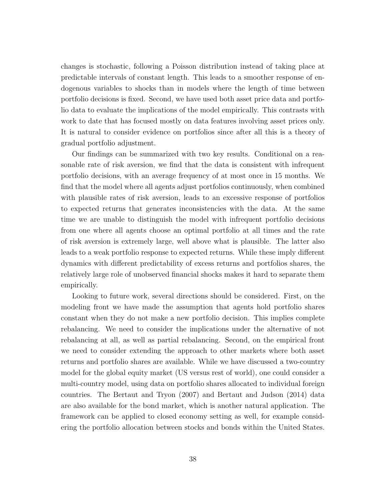changes is stochastic, following a Poisson distribution instead of taking place at predictable intervals of constant length. This leads to a smoother response of endogenous variables to shocks than in models where the length of time between portfolio decisions is fixed. Second, we have used both asset price data and portfolio data to evaluate the implications of the model empirically. This contrasts with work to date that has focused mostly on data features involving asset prices only. It is natural to consider evidence on portfolios since after all this is a theory of gradual portfolio adjustment.

Our findings can be summarized with two key results. Conditional on a reasonable rate of risk aversion, we find that the data is consistent with infrequent portfolio decisions, with an average frequency of at most once in 15 months. We find that the model where all agents adjust portfolios continuously, when combined with plausible rates of risk aversion, leads to an excessive response of portfolios to expected returns that generates inconsistencies with the data. At the same time we are unable to distinguish the model with infrequent portfolio decisions from one where all agents choose an optimal portfolio at all times and the rate of risk aversion is extremely large, well above what is plausible. The latter also leads to a weak portfolio response to expected returns. While these imply different dynamics with different predictability of excess returns and portfolios shares, the relatively large role of unobserved financial shocks makes it hard to separate them empirically.

Looking to future work, several directions should be considered. First, on the modeling front we have made the assumption that agents hold portfolio shares constant when they do not make a new portfolio decision. This implies complete rebalancing. We need to consider the implications under the alternative of not rebalancing at all, as well as partial rebalancing. Second, on the empirical front we need to consider extending the approach to other markets where both asset returns and portfolio shares are available. While we have discussed a two-country model for the global equity market (US versus rest of world), one could consider a multi-country model, using data on portfolio shares allocated to individual foreign countries. The Bertaut and Tryon (2007) and Bertaut and Judson (2014) data are also available for the bond market, which is another natural application. The framework can be applied to closed economy setting as well, for example considering the portfolio allocation between stocks and bonds within the United States.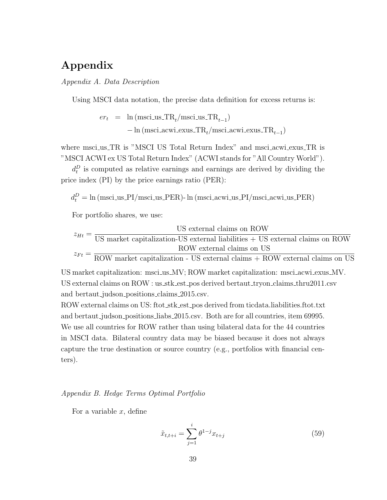# Appendix

Appendix A. Data Description

Using MSCI data notation, the precise data definition for excess returns is:

$$
\begin{array}{lcl} er_t & = & \textrm{ln (msci_ius\_TR}_{t}/\textrm{msci_ius\_TR}_{t-1})\\ & & - \textrm{ln (msci_iacwi}\textrm{exus\_TR}_{t}/\textrm{msci_iacwi}\textrm{exus\_TR}_{t-1} \end{array}
$$

where msci\_us\_TR is "MSCI US Total Return Index" and msci\_acwi\_exus\_TR is "MSCI ACWI ex US Total Return Index" (ACWI stands for "All Country World").

 $d_t^D$  is computed as relative earnings and earnings are derived by dividing the price index (PI) by the price earnings ratio (PER):

 $d_t^D = \ln \left( \text{msci\_us\_PI} / \text{msci\_us\_PER} \right) - \ln \left( \text{msci\_acwi\_us\_PI} / \text{msci\_acwi\_us\_PER} \right)$ 

For portfolio shares, we use:

$$
z_{Ht} = \frac{\text{US} \text{ external claims on ROW}}{\text{US} \text{ market capitalization-US external liabilities} + \text{US external claims on ROW}} \frac{\text{ROW external liabilities}}{\text{ROW external claims on US}} = \frac{\text{ROW external claims on TOW}}{\text{ROW material claims} + \text{ROW external claims on US}}
$$

)

US market capitalization: msci us MV; ROW market capitalization: msci acwi exus MV. US external claims on ROW : us\_stk\_est\_pos derived bertaut\_tryon\_claims\_thru2011.csv and bertaut judson positions claims 2015.csv.

ROW external claims on US: ftot stk est pos derived from ticdata.liabilities.ftot.txt and bertaut judson positions liabs 2015.csv. Both are for all countries, item 69995. We use all countries for ROW rather than using bilateral data for the 44 countries in MSCI data. Bilateral country data may be biased because it does not always capture the true destination or source country (e.g., portfolios with financial centers).

#### Appendix B. Hedge Terms Optimal Portfolio

For a variable  $x$ , define

$$
\tilde{x}_{t,t+i} = \sum_{j=1}^{i} \theta^{1-j} x_{t+j}
$$
\n(59)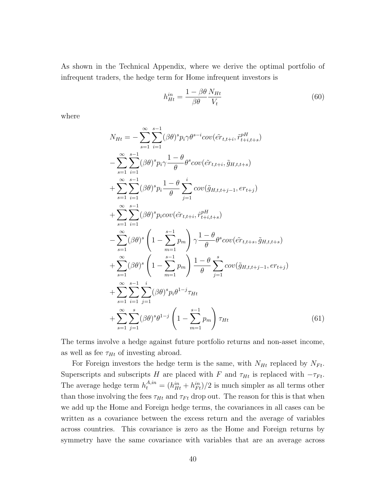As shown in the Technical Appendix, where we derive the optimal portfolio of infrequent traders, the hedge term for Home infrequent investors is

$$
h_{Ht}^{in} = \frac{1 - \beta \theta}{\beta \theta} \frac{N_{Ht}}{V_t} \tag{60}
$$

where

$$
N_{Ht} = -\sum_{s=1}^{\infty} \sum_{i=1}^{s-1} (\beta \theta)^s p_i \gamma \theta^{s-i} cov(\tilde{er}_{t,t+i}, \tilde{r}_{t+i,t+s}^{pH})
$$
  
\n
$$
-\sum_{s=1}^{\infty} \sum_{i=1}^{s-1} (\beta \theta)^s p_i \gamma \frac{1-\theta}{\theta} \theta^s cov(\tilde{er}_{t,t+i}, \tilde{g}_{H,t,t+s})
$$
  
\n
$$
+\sum_{s=1}^{\infty} \sum_{i=1}^{s-1} (\beta \theta)^s p_i \frac{1-\theta}{\theta} \sum_{j=1}^{i} cov(\tilde{g}_{H,t,t+j-1}, er_{t+j})
$$
  
\n
$$
+\sum_{s=1}^{\infty} \sum_{i=1}^{s-1} (\beta \theta)^s p_i cov(\tilde{er}_{t,t+i}, \tilde{r}_{t+i,t+s}^{pH})
$$
  
\n
$$
-\sum_{s=1}^{\infty} (\beta \theta)^s \left(1 - \sum_{m=1}^{s-1} p_m \right) \gamma \frac{1-\theta}{\theta} \theta^s cov(\tilde{er}_{t,t+s}, \tilde{g}_{H,t,t+s})
$$
  
\n
$$
+\sum_{s=1}^{\infty} (\beta \theta)^s \left(1 - \sum_{m=1}^{s-1} p_m \right) \frac{1-\theta}{\theta} \sum_{j=1}^{s} cov(\tilde{g}_{H,t,t+j-1}, er_{t+j})
$$
  
\n
$$
+\sum_{s=1}^{\infty} \sum_{i=1}^{s-1} \sum_{j=1}^{i} (\beta \theta)^s p_i \theta^{1-j} \tau_{Ht}
$$
  
\n
$$
+\sum_{s=1}^{\infty} \sum_{j=1}^{s} (\beta \theta)^s \theta^{1-j} \left(1 - \sum_{m=1}^{s-1} p_m \right) \tau_{Ht}
$$
(61)

The terms involve a hedge against future portfolio returns and non-asset income, as well as fee  $\tau_{Ht}$  of investing abroad.

For Foreign investors the hedge term is the same, with  $N_{Ht}$  replaced by  $N_{Ft}$ . Superscripts and subscripts H are placed with F and  $\tau_{Ht}$  is replaced with  $-\tau_{Ft}$ . The average hedge term  $h_t^{A,in} = (h_{Ht}^{in} + h_{Ft}^{in})/2$  is much simpler as all terms other than those involving the fees  $\tau_{Ht}$  and  $\tau_{Ft}$  drop out. The reason for this is that when we add up the Home and Foreign hedge terms, the covariances in all cases can be written as a covariance between the excess return and the average of variables across countries. This covariance is zero as the Home and Foreign returns by symmetry have the same covariance with variables that are an average across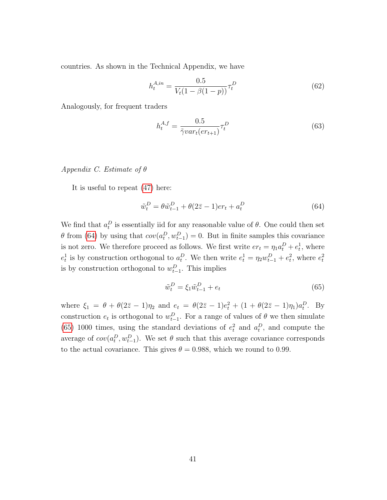countries. As shown in the Technical Appendix, we have

$$
h_t^{A,in} = \frac{0.5}{V_t(1 - \beta(1 - p))} \tau_t^D
$$
\n(62)

Analogously, for frequent traders

$$
h_t^{A,f} = \frac{0.5}{\tilde{\gamma}var_t(er_{t+1})}\tau_t^D\tag{63}
$$

Appendix C. Estimate of θ

It is useful to repeat [\(47\)](#page-19-0) here:

<span id="page-42-0"></span>
$$
\tilde{w}_t^D = \theta \tilde{w}_{t-1}^D + \theta (2\bar{z} - 1) er_t + a_t^D
$$
\n(64)

We find that  $a_t^D$  is essentially iid for any reasonable value of  $\theta$ . One could then set  $\theta$  from [\(64\)](#page-42-0) by using that  $cov(a_t^D, w_{t-1}^D) = 0$ . But in finite samples this covariance is not zero. We therefore proceed as follows. We first write  $er_t = \eta_1 a_t^D + e_t^1$ , where  $e_t^1$  is by construction orthogonal to  $a_t^D$ . We then write  $e_t^1 = \eta_2 w_{t-1}^D + e_t^2$ , where  $e_t^2$ is by construction orthogonal to  $w_{t-1}^D$ . This implies

<span id="page-42-1"></span>
$$
\tilde{w}_t^D = \xi_1 \tilde{w}_{t-1}^D + e_t \tag{65}
$$

where  $\xi_1 = \theta + \theta(2\bar{z} - 1)\eta_2$  and  $e_t = \theta(2\bar{z} - 1)e_t^2 + (1 + \theta(2\bar{z} - 1)\eta_1)a_t^D$ . By construction  $e_t$  is orthogonal to  $w_{t-1}^D$ . For a range of values of  $\theta$  we then simulate [\(65\)](#page-42-1) 1000 times, using the standard deviations of  $e_t^2$  and  $a_t^D$ , and compute the average of  $cov(a_t^D, w_{t-1}^D)$ . We set  $\theta$  such that this average covariance corresponds to the actual covariance. This gives  $\theta = 0.988$ , which we round to 0.99.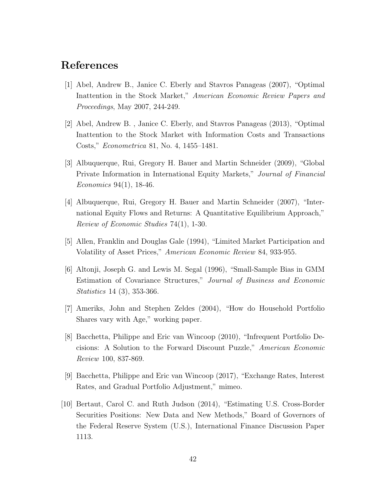# References

- [1] Abel, Andrew B., Janice C. Eberly and Stavros Panageas (2007), "Optimal Inattention in the Stock Market," American Economic Review Papers and Proceedings, May 2007, 244-249.
- [2] Abel, Andrew B. , Janice C. Eberly, and Stavros Panageas (2013), "Optimal Inattention to the Stock Market with Information Costs and Transactions Costs," Econometrica 81, No. 4, 1455–1481.
- [3] Albuquerque, Rui, Gregory H. Bauer and Martin Schneider (2009), "Global Private Information in International Equity Markets," Journal of Financial Economics 94(1), 18-46.
- [4] Albuquerque, Rui, Gregory H. Bauer and Martin Schneider (2007), "International Equity Flows and Returns: A Quantitative Equilibrium Approach," Review of Economic Studies 74(1), 1-30.
- [5] Allen, Franklin and Douglas Gale (1994), "Limited Market Participation and Volatility of Asset Prices," American Economic Review 84, 933-955.
- [6] Altonji, Joseph G. and Lewis M. Segal (1996), "Small-Sample Bias in GMM Estimation of Covariance Structures," Journal of Business and Economic Statistics 14 (3), 353-366.
- [7] Ameriks, John and Stephen Zeldes (2004), "How do Household Portfolio Shares vary with Age," working paper.
- [8] Bacchetta, Philippe and Eric van Wincoop (2010), "Infrequent Portfolio Decisions: A Solution to the Forward Discount Puzzle," American Economic Review 100, 837-869.
- [9] Bacchetta, Philippe and Eric van Wincoop (2017), "Exchange Rates, Interest Rates, and Gradual Portfolio Adjustment," mimeo.
- [10] Bertaut, Carol C. and Ruth Judson (2014), "Estimating U.S. Cross-Border Securities Positions: New Data and New Methods," Board of Governors of the Federal Reserve System (U.S.), International Finance Discussion Paper 1113.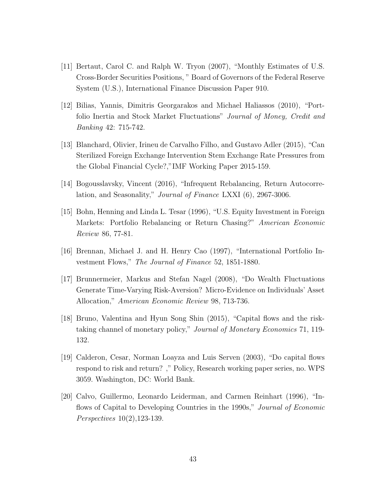- [11] Bertaut, Carol C. and Ralph W. Tryon (2007), "Monthly Estimates of U.S. Cross-Border Securities Positions, " Board of Governors of the Federal Reserve System (U.S.), International Finance Discussion Paper 910.
- [12] Bilias, Yannis, Dimitris Georgarakos and Michael Haliassos (2010), "Portfolio Inertia and Stock Market Fluctuations" Journal of Money, Credit and Banking 42: 715-742.
- [13] Blanchard, Olivier, Irineu de Carvalho Filho, and Gustavo Adler (2015), "Can Sterilized Foreign Exchange Intervention Stem Exchange Rate Pressures from the Global Financial Cycle?,"IMF Working Paper 2015-159.
- [14] Bogousslavsky, Vincent (2016), "Infrequent Rebalancing, Return Autocorrelation, and Seasonality," Journal of Finance LXXI (6), 2967-3006.
- [15] Bohn, Henning and Linda L. Tesar (1996), "U.S. Equity Investment in Foreign Markets: Portfolio Rebalancing or Return Chasing?" American Economic Review 86, 77-81.
- [16] Brennan, Michael J. and H. Henry Cao (1997), "International Portfolio Investment Flows," The Journal of Finance 52, 1851-1880.
- [17] Brunnermeier, Markus and Stefan Nagel (2008), "Do Wealth Fluctuations Generate Time-Varying Risk-Aversion? Micro-Evidence on Individuals' Asset Allocation," American Economic Review 98, 713-736.
- [18] Bruno, Valentina and Hyun Song Shin (2015), "Capital flows and the risktaking channel of monetary policy," Journal of Monetary Economics 71, 119- 132.
- [19] Calderon, Cesar, Norman Loayza and Luis Serven (2003), "Do capital flows respond to risk and return? ," Policy, Research working paper series, no. WPS 3059. Washington, DC: World Bank.
- [20] Calvo, Guillermo, Leonardo Leiderman, and Carmen Reinhart (1996), "Inflows of Capital to Developing Countries in the 1990s," Journal of Economic Perspectives 10(2),123-139.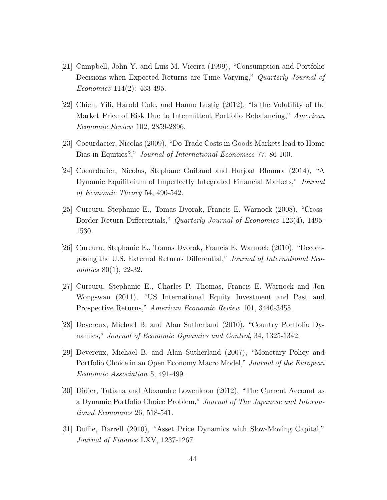- [21] Campbell, John Y. and Luis M. Viceira (1999), "Consumption and Portfolio Decisions when Expected Returns are Time Varying," Quarterly Journal of Economics 114(2): 433-495.
- [22] Chien, Yili, Harold Cole, and Hanno Lustig (2012), "Is the Volatility of the Market Price of Risk Due to Intermittent Portfolio Rebalancing," American Economic Review 102, 2859-2896.
- [23] Coeurdacier, Nicolas (2009), "Do Trade Costs in Goods Markets lead to Home Bias in Equities?," Journal of International Economics 77, 86-100.
- [24] Coeurdacier, Nicolas, Stephane Guibaud and Harjoat Bhamra (2014), "A Dynamic Equilibrium of Imperfectly Integrated Financial Markets," Journal of Economic Theory 54, 490-542.
- [25] Curcuru, Stephanie E., Tomas Dvorak, Francis E. Warnock (2008), "Cross-Border Return Differentials," Quarterly Journal of Economics 123(4), 1495- 1530.
- [26] Curcuru, Stephanie E., Tomas Dvorak, Francis E. Warnock (2010), "Decomposing the U.S. External Returns Differential," Journal of International Economics 80(1), 22-32.
- [27] Curcuru, Stephanie E., Charles P. Thomas, Francis E. Warnock and Jon Wongswan (2011), "US International Equity Investment and Past and Prospective Returns," American Economic Review 101, 3440-3455.
- [28] Devereux, Michael B. and Alan Sutherland (2010), "Country Portfolio Dynamics," Journal of Economic Dynamics and Control, 34, 1325-1342.
- [29] Devereux, Michael B. and Alan Sutherland (2007), "Monetary Policy and Portfolio Choice in an Open Economy Macro Model," Journal of the European Economic Association 5, 491-499.
- [30] Didier, Tatiana and Alexandre Lowenkron (2012), "The Current Account as a Dynamic Portfolio Choice Problem," Journal of The Japanese and International Economies 26, 518-541.
- [31] Duffie, Darrell (2010), "Asset Price Dynamics with Slow-Moving Capital," Journal of Finance LXV, 1237-1267.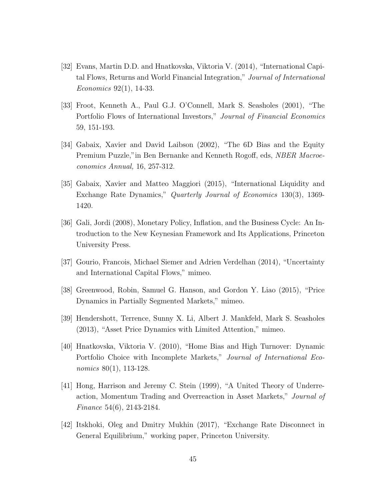- [32] Evans, Martin D.D. and Hnatkovska, Viktoria V. (2014), "International Capital Flows, Returns and World Financial Integration," Journal of International Economics 92(1), 14-33.
- [33] Froot, Kenneth A., Paul G.J. O'Connell, Mark S. Seasholes (2001), "The Portfolio Flows of International Investors," Journal of Financial Economics 59, 151-193.
- [34] Gabaix, Xavier and David Laibson (2002), "The 6D Bias and the Equity Premium Puzzle," in Ben Bernanke and Kenneth Rogoff, eds, NBER Macroeconomics Annual, 16, 257-312.
- [35] Gabaix, Xavier and Matteo Maggiori (2015), "International Liquidity and Exchange Rate Dynamics," Quarterly Journal of Economics 130(3), 1369- 1420.
- [36] Gali, Jordi (2008), Monetary Policy, Inflation, and the Business Cycle: An Introduction to the New Keynesian Framework and Its Applications, Princeton University Press.
- [37] Gourio, Francois, Michael Siemer and Adrien Verdelhan (2014), "Uncertainty and International Capital Flows," mimeo.
- [38] Greenwood, Robin, Samuel G. Hanson, and Gordon Y. Liao (2015), "Price Dynamics in Partially Segmented Markets," mimeo.
- [39] Hendershott, Terrence, Sunny X. Li, Albert J. Mankfeld, Mark S. Seasholes (2013), "Asset Price Dynamics with Limited Attention," mimeo.
- [40] Hnatkovska, Viktoria V. (2010), "Home Bias and High Turnover: Dynamic Portfolio Choice with Incomplete Markets," Journal of International Economics 80(1), 113-128.
- [41] Hong, Harrison and Jeremy C. Stein (1999), "A United Theory of Underreaction, Momentum Trading and Overreaction in Asset Markets," Journal of Finance 54(6), 2143-2184.
- [42] Itskhoki, Oleg and Dmitry Mukhin (2017), "Exchange Rate Disconnect in General Equilibrium," working paper, Princeton University.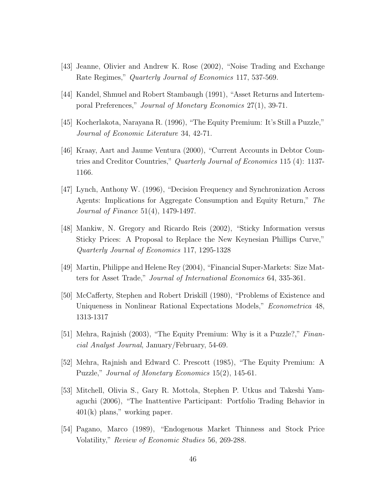- [43] Jeanne, Olivier and Andrew K. Rose (2002), "Noise Trading and Exchange Rate Regimes," Quarterly Journal of Economics 117, 537-569.
- [44] Kandel, Shmuel and Robert Stambaugh (1991), "Asset Returns and Intertemporal Preferences," Journal of Monetary Economics 27(1), 39-71.
- [45] Kocherlakota, Narayana R. (1996), "The Equity Premium: It's Still a Puzzle," Journal of Economic Literature 34, 42-71.
- [46] Kraay, Aart and Jaume Ventura (2000), "Current Accounts in Debtor Countries and Creditor Countries," Quarterly Journal of Economics 115 (4): 1137- 1166.
- [47] Lynch, Anthony W. (1996), "Decision Frequency and Synchronization Across Agents: Implications for Aggregate Consumption and Equity Return," The Journal of Finance 51(4), 1479-1497.
- [48] Mankiw, N. Gregory and Ricardo Reis (2002), "Sticky Information versus Sticky Prices: A Proposal to Replace the New Keynesian Phillips Curve," Quarterly Journal of Economics 117, 1295-1328
- [49] Martin, Philippe and Helene Rey (2004), "Financial Super-Markets: Size Matters for Asset Trade," Journal of International Economics 64, 335-361.
- [50] McCafferty, Stephen and Robert Driskill (1980), "Problems of Existence and Uniqueness in Nonlinear Rational Expectations Models," Econometrica 48, 1313-1317
- [51] Mehra, Rajnish (2003), "The Equity Premium: Why is it a Puzzle?," Financial Analyst Journal, January/February, 54-69.
- [52] Mehra, Rajnish and Edward C. Prescott (1985), "The Equity Premium: A Puzzle," Journal of Monetary Economics 15(2), 145-61.
- [53] Mitchell, Olivia S., Gary R. Mottola, Stephen P. Utkus and Takeshi Yamaguchi (2006), "The Inattentive Participant: Portfolio Trading Behavior in 401(k) plans," working paper.
- [54] Pagano, Marco (1989), "Endogenous Market Thinness and Stock Price Volatility," Review of Economic Studies 56, 269-288.